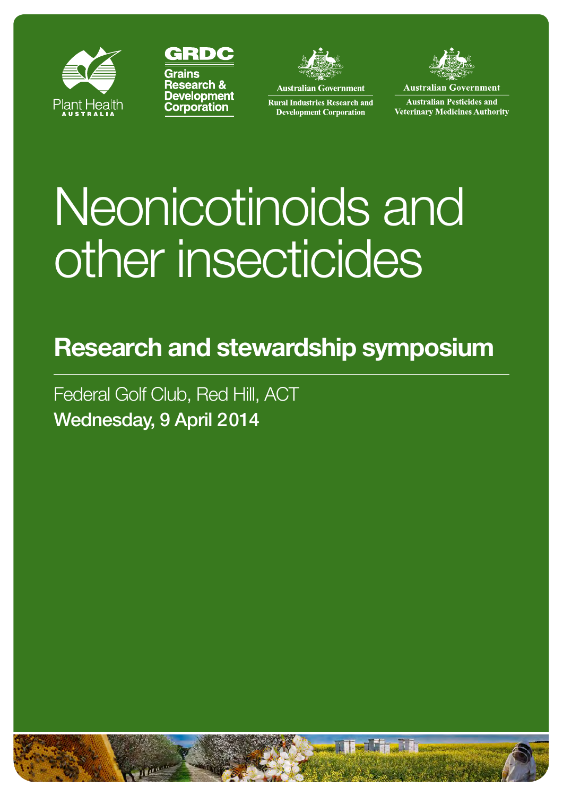





**Australian Government** 

**Rural Industries Research and** 

**Development Corporation** 

**Australian Government** 

**Australian Pesticides and Veterinary Medicines Authority** 

# Neonicotinoids and other insecticides

# **Research and stewardship symposium**

Federal Golf Club, Red Hill, ACT Wednesday, 9 April 2014

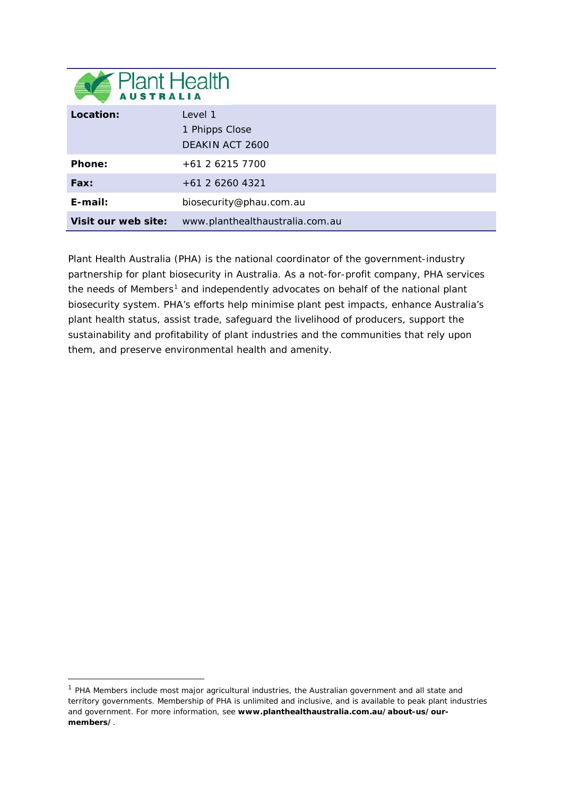| <b>Plant Health</b> |                                              |
|---------------------|----------------------------------------------|
| Location:           | Level 1<br>1 Phipps Close<br>DEAKIN ACT 2600 |
| Phone:              | $+61$ 2 6215 7700                            |
| Fax:                | +61 2 6260 4321                              |
| $E$ -mail:          | biosecurity@phau.com.au                      |
| Visit our web site: | www.planthealthaustralia.com.au              |

Plant Health Australia (PHA) is the national coordinator of the government-industry partnership for plant biosecurity in Australia. As a not-for-profit company, PHA services the needs of Members<sup>[1](#page-1-0)</sup> and independently advocates on behalf of the national plant biosecurity system. PHA's efforts help minimise plant pest impacts, enhance Australia's plant health status, assist trade, safeguard the livelihood of producers, support the sustainability and profitability of plant industries and the communities that rely upon them, and preserve environmental health and amenity.

-

<span id="page-1-0"></span> $1$  PHA Members include most major agricultural industries, the Australian government and all state and territory governments. Membership of PHA is unlimited and inclusive, and is available to peak plant industries and government. For more information, see **[www.planthealthaustralia.com.au/about-us/our](http://www.planthealthaustralia.com.au/about-us/our-members/)[members/](http://www.planthealthaustralia.com.au/about-us/our-members/)**.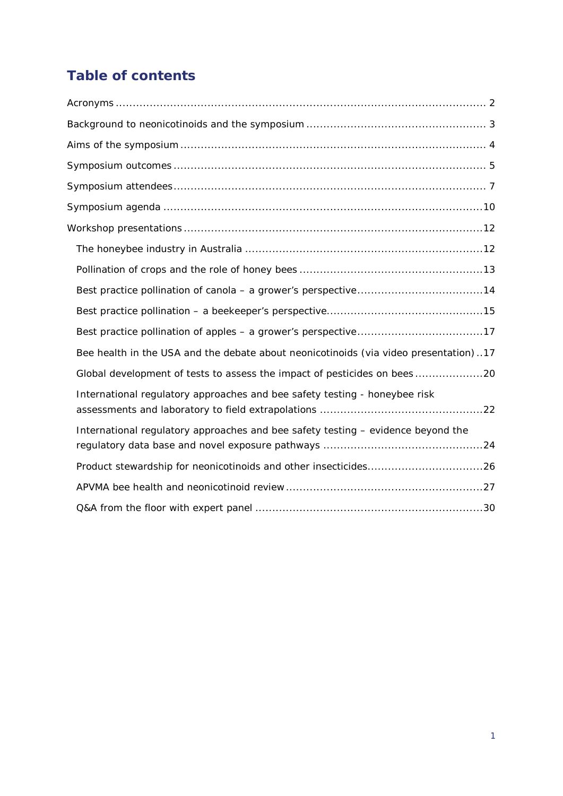# **Table of contents**

| Bee health in the USA and the debate about neonicotinoids (via video presentation)17 |
|--------------------------------------------------------------------------------------|
| Global development of tests to assess the impact of pesticides on bees 20            |
| International regulatory approaches and bee safety testing - honeybee risk           |
| International regulatory approaches and bee safety testing - evidence beyond the     |
| Product stewardship for neonicotinoids and other insecticides26                      |
|                                                                                      |
|                                                                                      |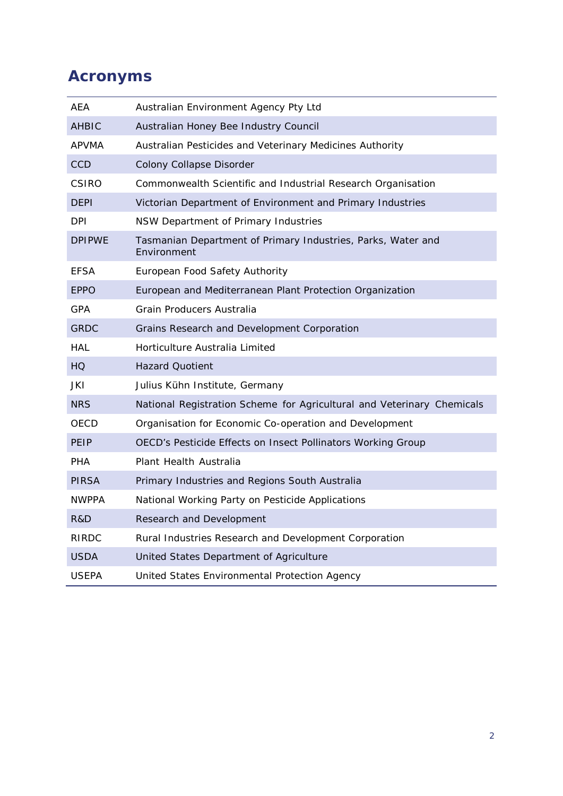# <span id="page-3-0"></span>**Acronyms**

| AEA           | Australian Environment Agency Pty Ltd                                       |
|---------------|-----------------------------------------------------------------------------|
| <b>AHBIC</b>  | Australian Honey Bee Industry Council                                       |
| APVMA         | Australian Pesticides and Veterinary Medicines Authority                    |
| <b>CCD</b>    | Colony Collapse Disorder                                                    |
| CSIRO         | Commonwealth Scientific and Industrial Research Organisation                |
| <b>DEPI</b>   | Victorian Department of Environment and Primary Industries                  |
| DPI           | NSW Department of Primary Industries                                        |
| <b>DPIPWE</b> | Tasmanian Department of Primary Industries, Parks, Water and<br>Environment |
| <b>EFSA</b>   | European Food Safety Authority                                              |
| <b>EPPO</b>   | European and Mediterranean Plant Protection Organization                    |
| GPA           | Grain Producers Australia                                                   |
| <b>GRDC</b>   | Grains Research and Development Corporation                                 |
| HAL           | Horticulture Australia Limited                                              |
| HQ            | <b>Hazard Quotient</b>                                                      |
| JKI           | Julius Kühn Institute, Germany                                              |
| <b>NRS</b>    | National Registration Scheme for Agricultural and Veterinary Chemicals      |
| OECD          | Organisation for Economic Co-operation and Development                      |
| PEIP          | OECD's Pesticide Effects on Insect Pollinators Working Group                |
| PHA           | Plant Health Australia                                                      |
| PIRSA         | Primary Industries and Regions South Australia                              |
| <b>NWPPA</b>  | National Working Party on Pesticide Applications                            |
| R&D           | Research and Development                                                    |
| RIRDC         | Rural Industries Research and Development Corporation                       |
| <b>USDA</b>   | United States Department of Agriculture                                     |
| <b>USEPA</b>  | United States Environmental Protection Agency                               |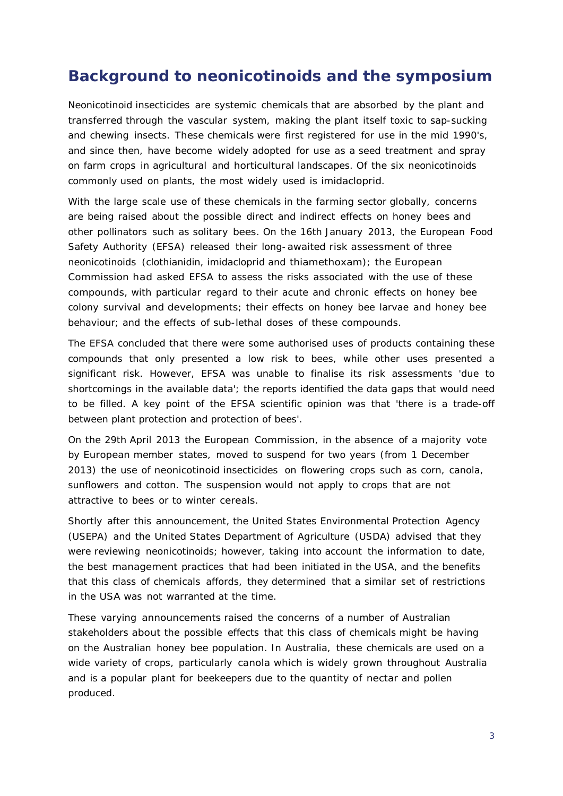# <span id="page-4-0"></span>**Background to neonicotinoids and the symposium**

Neonicotinoid insecticides are systemic chemicals that are absorbed by the plant and transferred through the vascular system, making the plant itself toxic to sap-sucking and chewing insects. These chemicals were first registered for use in the mid 1990's, and since then, have become widely adopted for use as a seed treatment and spray on farm crops in agricultural and horticultural landscapes. Of the six neonicotinoids commonly used on plants, the most widely used is imidacloprid.

With the large scale use of these chemicals in the farming sector globally, concerns are being raised about the possible direct and indirect effects on honey bees and other pollinators such as solitary bees. On the 16th January 2013, the European Food Safety Authority (EFSA) released their long-awaited risk assessment of three neonicotinoids (clothianidin, imidacloprid and thiamethoxam); the European Commission had asked EFSA to assess the risks associated with the use of these compounds, with particular regard to their acute and chronic effects on honey bee colony survival and developments; their effects on honey bee larvae and honey bee behaviour; and the effects of sub-lethal doses of these compounds.

The EFSA concluded that there were some authorised uses of products containing these compounds that only presented a low risk to bees, while other uses presented a significant risk. However, EFSA was unable to finalise its risk assessments 'due to shortcomings in the available data'; the reports identified the data gaps that would need to be filled. A key point of the EFSA scientific opinion was that 'there is a trade-off between plant protection and protection of bees'.

On the 29th April 2013 the European Commission, in the absence of a majority vote by European member states, moved to suspend for two years (from 1 December 2013) the use of neonicotinoid insecticides on flowering crops such as corn, canola, sunflowers and cotton. The suspension would not apply to crops that are not attractive to bees or to winter cereals.

Shortly after this announcement, the United States Environmental Protection Agency (USEPA) and the United States Department of Agriculture (USDA) advised that they were reviewing neonicotinoids; however, taking into account the information to date, the best management practices that had been initiated in the USA, and the benefits that this class of chemicals affords, they determined that a similar set of restrictions in the USA was not warranted at the time.

These varying announcements raised the concerns of a number of Australian stakeholders about the possible effects that this class of chemicals might be having on the Australian honey bee population. In Australia, these chemicals are used on a wide variety of crops, particularly canola which is widely grown throughout Australia and is a popular plant for beekeepers due to the quantity of nectar and pollen produced.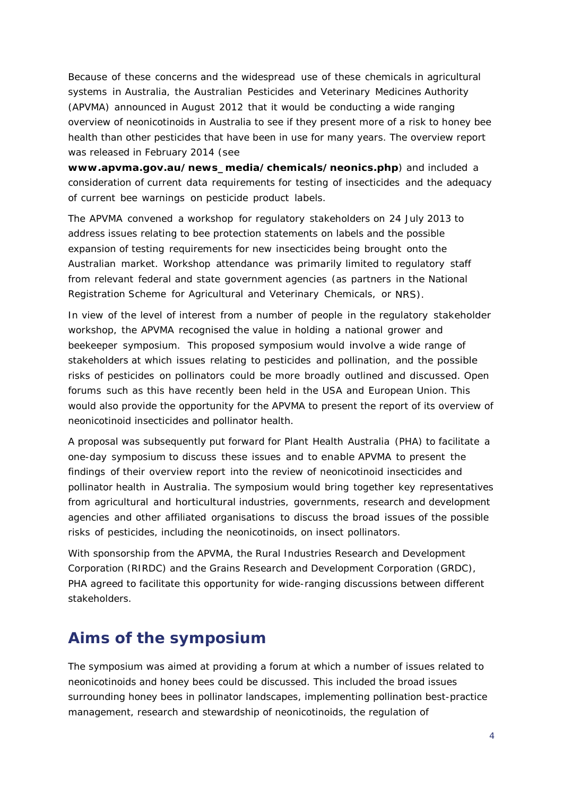Because of these concerns and the widespread use of these chemicals in agricultural systems in Australia, the Australian Pesticides and Veterinary Medicines Authority (APVMA) announced in August 2012 that it would be conducting a wide ranging overview of neonicotinoids in Australia to see if they present more of a risk to honey bee health than other pesticides that have been in use for many years. The overview report was released in February 2014 (see

**[www.apvma.gov.au/news\\_media/chemicals/neonics.php](http://www.apvma.gov.au/news_media/chemicals/neonics.php)**) and included a consideration of current data requirements for testing of insecticides and the adequacy of current bee warnings on pesticide product labels.

The APVMA convened a workshop for regulatory stakeholders on 24 July 2013 to address issues relating to bee protection statements on labels and the possible expansion of testing requirements for new insecticides being brought onto the Australian market. Workshop attendance was primarily limited to regulatory staff from relevant federal and state government agencies (as partners in the National Registration Scheme for Agricultural and Veterinary Chemicals, or NRS).

In view of the level of interest from a number of people in the regulatory stakeholder workshop, the APVMA recognised the value in holding a national grower and beekeeper symposium. This proposed symposium would involve a wide range of stakeholders at which issues relating to pesticides and pollination, and the possible risks of pesticides on pollinators could be more broadly outlined and discussed. Open forums such as this have recently been held in the USA and European Union. This would also provide the opportunity for the APVMA to present the report of its overview of neonicotinoid insecticides and pollinator health.

A proposal was subsequently put forward for Plant Health Australia (PHA) to facilitate a one-day symposium to discuss these issues and to enable APVMA to present the findings of their overview report into the review of neonicotinoid insecticides and pollinator health in Australia. The symposium would bring together key representatives from agricultural and horticultural industries, governments, research and development agencies and other affiliated organisations to discuss the broad issues of the possible risks of pesticides, including the neonicotinoids, on insect pollinators.

With sponsorship from the APVMA, the Rural Industries Research and Development Corporation (RIRDC) and the Grains Research and Development Corporation (GRDC), PHA agreed to facilitate this opportunity for wide-ranging discussions between different stakeholders.

# <span id="page-5-0"></span>**Aims of the symposium**

The symposium was aimed at providing a forum at which a number of issues related to neonicotinoids and honey bees could be discussed. This included the broad issues surrounding honey bees in pollinator landscapes, implementing pollination best-practice management, research and stewardship of neonicotinoids, the regulation of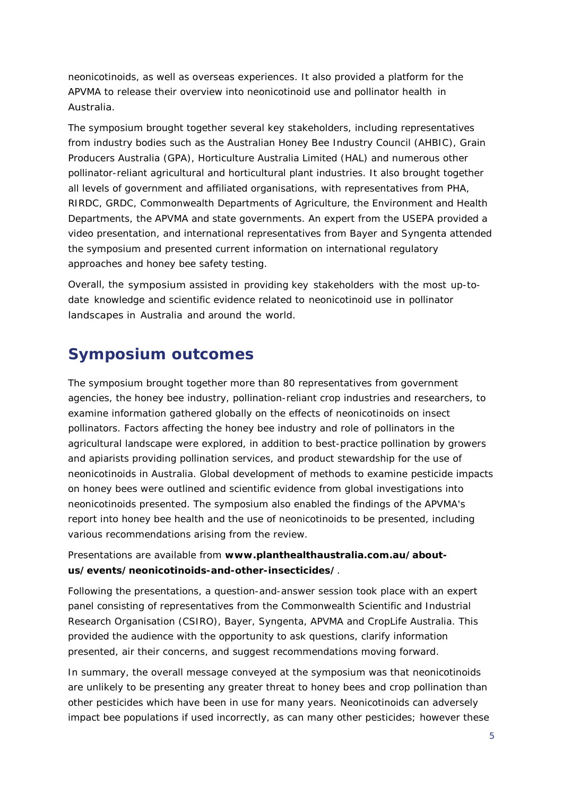neonicotinoids, as well as overseas experiences. It also provided a platform for the APVMA to release their overview into neonicotinoid use and pollinator health in Australia.

The symposium brought together several key stakeholders, including representatives from industry bodies such as the Australian Honey Bee Industry Council (AHBIC), Grain Producers Australia (GPA), Horticulture Australia Limited (HAL) and numerous other pollinator-reliant agricultural and horticultural plant industries. It also brought together all levels of government and affiliated organisations, with representatives from PHA, RIRDC, GRDC, Commonwealth Departments of Agriculture, the Environment and Health Departments, the APVMA and state governments. An expert from the USEPA provided a video presentation, and international representatives from Bayer and Syngenta attended the symposium and presented current information on international regulatory approaches and honey bee safety testing.

Overall, the symposium assisted in providing key stakeholders with the most up-todate knowledge and scientific evidence related to neonicotinoid use in pollinator landscapes in Australia and around the world.

# <span id="page-6-0"></span>**Symposium outcomes**

The symposium brought together more than 80 representatives from government agencies, the honey bee industry, pollination-reliant crop industries and researchers, to examine information gathered globally on the effects of neonicotinoids on insect pollinators. Factors affecting the honey bee industry and role of pollinators in the agricultural landscape were explored, in addition to best-practice pollination by growers and apiarists providing pollination services, and product stewardship for the use of neonicotinoids in Australia. Global development of methods to examine pesticide impacts on honey bees were outlined and scientific evidence from global investigations into neonicotinoids presented. The symposium also enabled the findings of the APVMA's report into honey bee health and the use of neonicotinoids to be presented, including various recommendations arising from the review.

#### Presentations are available from **[www.planthealthaustralia.com.au/about](http://www.planthealthaustralia.com.au/about-us/events/neonicotinoids-and-other-insecticides/)[us/events/neonicotinoids-and-other-insecticides/](http://www.planthealthaustralia.com.au/about-us/events/neonicotinoids-and-other-insecticides/)**.

Following the presentations, a question-and-answer session took place with an expert panel consisting of representatives from the Commonwealth Scientific and Industrial Research Organisation (CSIRO), Bayer, Syngenta, APVMA and CropLife Australia. This provided the audience with the opportunity to ask questions, clarify information presented, air their concerns, and suggest recommendations moving forward.

In summary, the overall message conveyed at the symposium was that neonicotinoids are unlikely to be presenting any greater threat to honey bees and crop pollination than other pesticides which have been in use for many years. Neonicotinoids can adversely impact bee populations if used incorrectly, as can many other pesticides; however these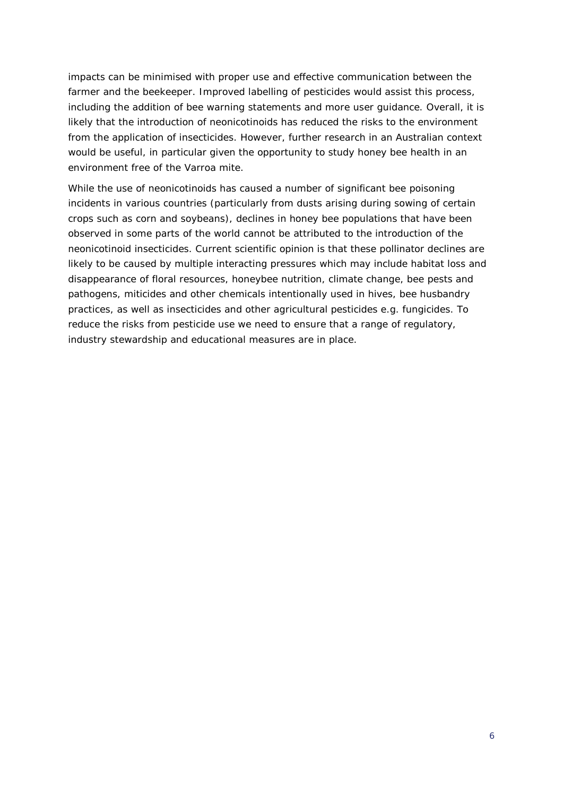impacts can be minimised with proper use and effective communication between the farmer and the beekeeper. Improved labelling of pesticides would assist this process, including the addition of bee warning statements and more user guidance. Overall, it is likely that the introduction of neonicotinoids has reduced the risks to the environment from the application of insecticides. However, further research in an Australian context would be useful, in particular given the opportunity to study honey bee health in an environment free of the Varroa mite.

While the use of neonicotinoids has caused a number of significant bee poisoning incidents in various countries (particularly from dusts arising during sowing of certain crops such as corn and soybeans), declines in honey bee populations that have been observed in some parts of the world cannot be attributed to the introduction of the neonicotinoid insecticides. Current scientific opinion is that these pollinator declines are likely to be caused by multiple interacting pressures which may include habitat loss and disappearance of floral resources, honeybee nutrition, climate change, bee pests and pathogens, miticides and other chemicals intentionally used in hives, bee husbandry practices, as well as insecticides and other agricultural pesticides e.g. fungicides. To reduce the risks from pesticide use we need to ensure that a range of regulatory, industry stewardship and educational measures are in place.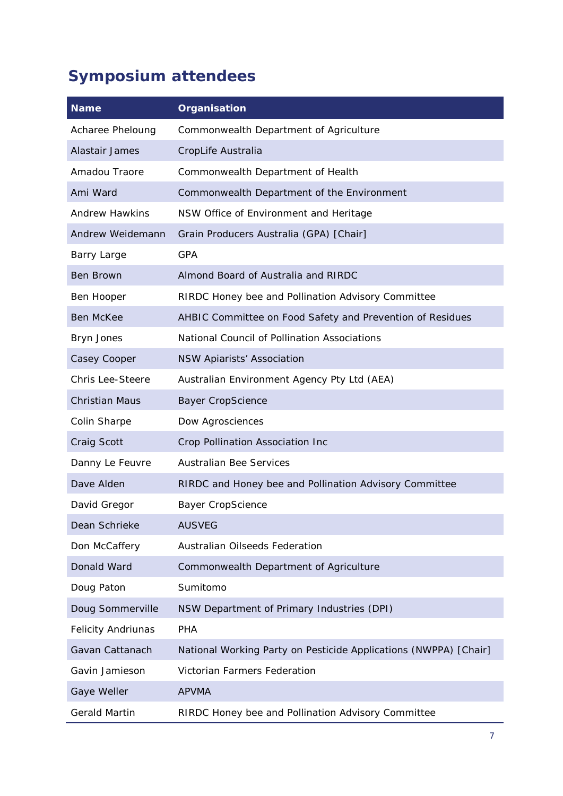# <span id="page-8-0"></span>**Symposium attendees**

| <b>Name</b>               | Organisation                                                     |  |
|---------------------------|------------------------------------------------------------------|--|
| Acharee Pheloung          | Commonwealth Department of Agriculture                           |  |
| Alastair James            | CropLife Australia                                               |  |
| Amadou Traore             | Commonwealth Department of Health                                |  |
| Ami Ward                  | Commonwealth Department of the Environment                       |  |
| <b>Andrew Hawkins</b>     | NSW Office of Environment and Heritage                           |  |
| Andrew Weidemann          | Grain Producers Australia (GPA) [Chair]                          |  |
| Barry Large               | <b>GPA</b>                                                       |  |
| <b>Ben Brown</b>          | Almond Board of Australia and RIRDC                              |  |
| Ben Hooper                | RIRDC Honey bee and Pollination Advisory Committee               |  |
| <b>Ben McKee</b>          | AHBIC Committee on Food Safety and Prevention of Residues        |  |
| Bryn Jones                | National Council of Pollination Associations                     |  |
| Casey Cooper              | <b>NSW Apiarists' Association</b>                                |  |
| <b>Chris Lee-Steere</b>   | Australian Environment Agency Pty Ltd (AEA)                      |  |
| <b>Christian Maus</b>     | <b>Bayer CropScience</b>                                         |  |
| Colin Sharpe              | Dow Agrosciences                                                 |  |
| Craig Scott               | Crop Pollination Association Inc                                 |  |
| Danny Le Feuvre           | <b>Australian Bee Services</b>                                   |  |
| Dave Alden                | RIRDC and Honey bee and Pollination Advisory Committee           |  |
| David Gregor              | <b>Bayer CropScience</b>                                         |  |
| Dean Schrieke             | <b>AUSVEG</b>                                                    |  |
| Don McCaffery             | <b>Australian Oilseeds Federation</b>                            |  |
| Donald Ward               | Commonwealth Department of Agriculture                           |  |
| Doug Paton                | Sumitomo                                                         |  |
| Doug Sommerville          | NSW Department of Primary Industries (DPI)                       |  |
| <b>Felicity Andriunas</b> | PHA                                                              |  |
| Gavan Cattanach           | National Working Party on Pesticide Applications (NWPPA) [Chair] |  |
| Gavin Jamieson            | Victorian Farmers Federation                                     |  |
| Gaye Weller               | <b>APVMA</b>                                                     |  |
| <b>Gerald Martin</b>      | RIRDC Honey bee and Pollination Advisory Committee               |  |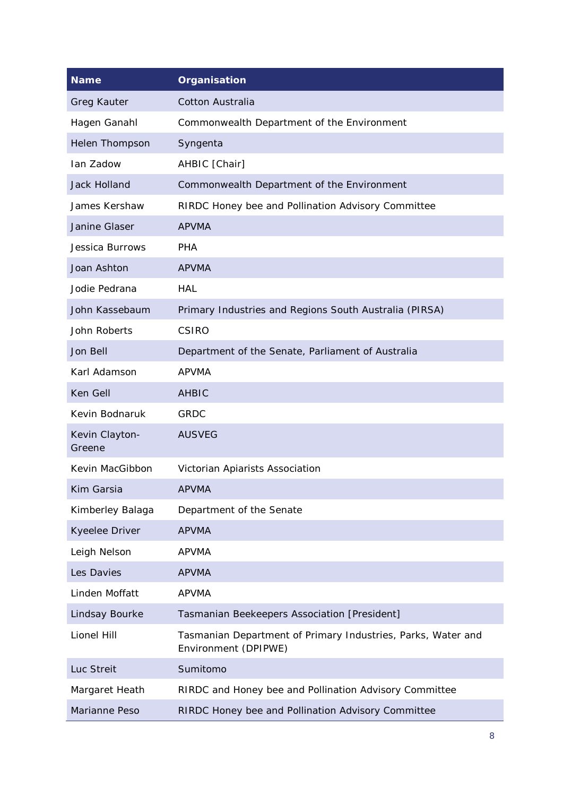| <b>Name</b>              | Organisation                                                                         |  |  |
|--------------------------|--------------------------------------------------------------------------------------|--|--|
| <b>Greg Kauter</b>       | <b>Cotton Australia</b>                                                              |  |  |
| Hagen Ganahl             | Commonwealth Department of the Environment                                           |  |  |
| Helen Thompson           | Syngenta                                                                             |  |  |
| Ian Zadow                | AHBIC [Chair]                                                                        |  |  |
| <b>Jack Holland</b>      | Commonwealth Department of the Environment                                           |  |  |
| James Kershaw            | RIRDC Honey bee and Pollination Advisory Committee                                   |  |  |
| Janine Glaser            | <b>APVMA</b>                                                                         |  |  |
| Jessica Burrows          | <b>PHA</b>                                                                           |  |  |
| Joan Ashton              | <b>APVMA</b>                                                                         |  |  |
| Jodie Pedrana            | <b>HAL</b>                                                                           |  |  |
| John Kassebaum           | Primary Industries and Regions South Australia (PIRSA)                               |  |  |
| John Roberts             | <b>CSIRO</b>                                                                         |  |  |
| Jon Bell                 | Department of the Senate, Parliament of Australia                                    |  |  |
| Karl Adamson             | <b>APVMA</b>                                                                         |  |  |
| Ken Gell                 | <b>AHBIC</b>                                                                         |  |  |
| Kevin Bodnaruk           | <b>GRDC</b>                                                                          |  |  |
| Kevin Clayton-<br>Greene | <b>AUSVEG</b>                                                                        |  |  |
| Kevin MacGibbon          | Victorian Apiarists Association                                                      |  |  |
| Kim Garsia               | <b>APVMA</b>                                                                         |  |  |
| Kimberley Balaga         | Department of the Senate                                                             |  |  |
| Kyeelee Driver           | <b>APVMA</b>                                                                         |  |  |
| Leigh Nelson             | <b>APVMA</b>                                                                         |  |  |
| Les Davies               | <b>APVMA</b>                                                                         |  |  |
| Linden Moffatt           | <b>APVMA</b>                                                                         |  |  |
| Lindsay Bourke           | Tasmanian Beekeepers Association [President]                                         |  |  |
| Lionel Hill              | Tasmanian Department of Primary Industries, Parks, Water and<br>Environment (DPIPWE) |  |  |
| Luc Streit               | Sumitomo                                                                             |  |  |
| Margaret Heath           | RIRDC and Honey bee and Pollination Advisory Committee                               |  |  |
| Marianne Peso            | RIRDC Honey bee and Pollination Advisory Committee                                   |  |  |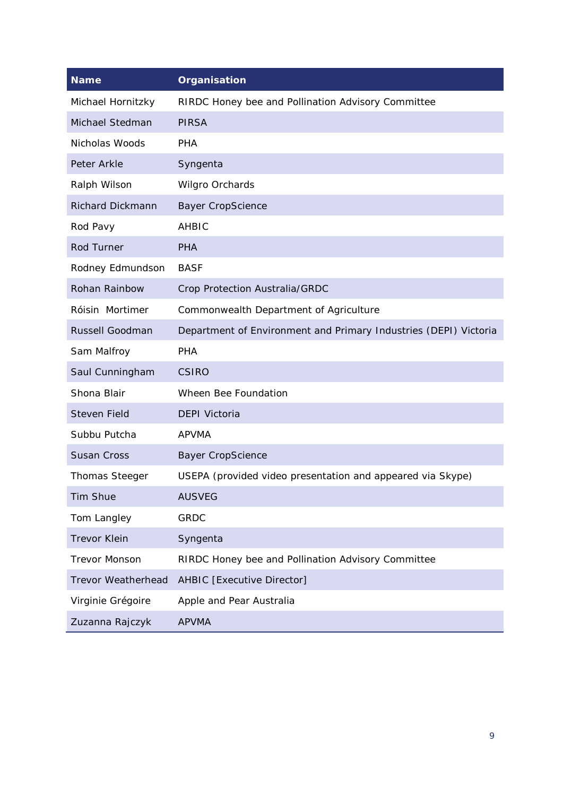| <b>Name</b>               | <b>Organisation</b>                                              |
|---------------------------|------------------------------------------------------------------|
| Michael Hornitzky         | RIRDC Honey bee and Pollination Advisory Committee               |
| Michael Stedman           | <b>PIRSA</b>                                                     |
| Nicholas Woods            | <b>PHA</b>                                                       |
| Peter Arkle               | Syngenta                                                         |
| Ralph Wilson              | Wilgro Orchards                                                  |
| <b>Richard Dickmann</b>   | <b>Bayer CropScience</b>                                         |
| Rod Pavy                  | <b>AHBIC</b>                                                     |
| Rod Turner                | <b>PHA</b>                                                       |
| Rodney Edmundson          | <b>BASF</b>                                                      |
| Rohan Rainbow             | Crop Protection Australia/GRDC                                   |
| Róisin Mortimer           | Commonwealth Department of Agriculture                           |
| Russell Goodman           | Department of Environment and Primary Industries (DEPI) Victoria |
| Sam Malfroy               | <b>PHA</b>                                                       |
| Saul Cunningham           | <b>CSIRO</b>                                                     |
| Shona Blair               | Wheen Bee Foundation                                             |
| <b>Steven Field</b>       | <b>DEPI Victoria</b>                                             |
| Subbu Putcha              | <b>APVMA</b>                                                     |
| <b>Susan Cross</b>        | <b>Bayer CropScience</b>                                         |
| <b>Thomas Steeger</b>     | USEPA (provided video presentation and appeared via Skype)       |
| Tim Shue                  | <b>AUSVEG</b>                                                    |
| Tom Langley               | <b>GRDC</b>                                                      |
| <b>Trevor Klein</b>       | Syngenta                                                         |
| <b>Trevor Monson</b>      | RIRDC Honey bee and Pollination Advisory Committee               |
| <b>Trevor Weatherhead</b> | AHBIC [Executive Director]                                       |
| Virginie Grégoire         | Apple and Pear Australia                                         |
| Zuzanna Rajczyk           | <b>APVMA</b>                                                     |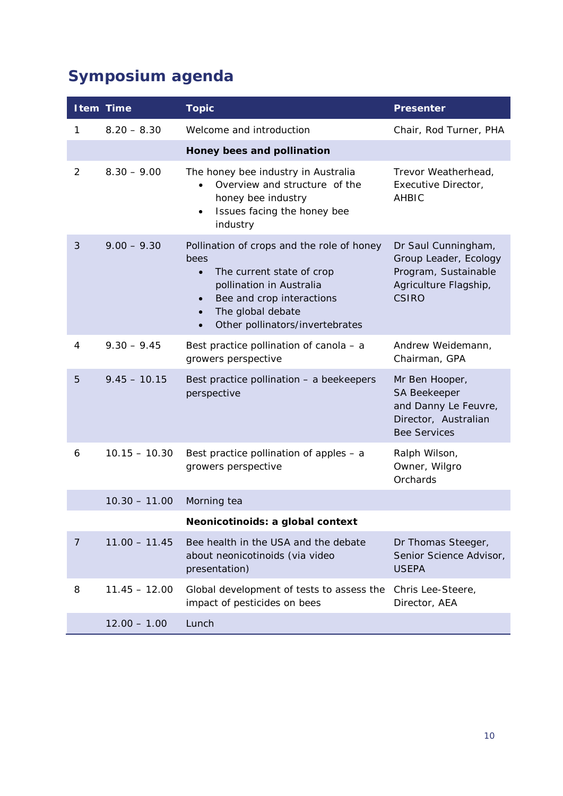# <span id="page-11-0"></span>**Symposium agenda**

|                | <b>Item Time</b> | <b>Topic</b>                                                                                                                                                                                                                            | <b>Presenter</b>                                                                                              |
|----------------|------------------|-----------------------------------------------------------------------------------------------------------------------------------------------------------------------------------------------------------------------------------------|---------------------------------------------------------------------------------------------------------------|
| 1              | $8.20 - 8.30$    | Welcome and introduction                                                                                                                                                                                                                | Chair, Rod Turner, PHA                                                                                        |
|                |                  | Honey bees and pollination                                                                                                                                                                                                              |                                                                                                               |
| $\overline{2}$ | $8.30 - 9.00$    | The honey bee industry in Australia<br>Overview and structure of the<br>honey bee industry<br>Issues facing the honey bee<br>$\bullet$<br>industry                                                                                      | Trevor Weatherhead,<br>Executive Director,<br><b>AHBIC</b>                                                    |
| 3              | $9.00 - 9.30$    | Pollination of crops and the role of honey<br>bees<br>The current state of crop<br>$\bullet$<br>pollination in Australia<br>Bee and crop interactions<br>The global debate<br>$\bullet$<br>Other pollinators/invertebrates<br>$\bullet$ | Dr Saul Cunningham,<br>Group Leader, Ecology<br>Program, Sustainable<br>Agriculture Flagship,<br><b>CSIRO</b> |
| 4              | $9.30 - 9.45$    | Best practice pollination of canola - a<br>growers perspective                                                                                                                                                                          | Andrew Weidemann,<br>Chairman, GPA                                                                            |
| 5              | $9.45 - 10.15$   | Best practice pollination - a beekeepers<br>perspective                                                                                                                                                                                 | Mr Ben Hooper,<br>SA Beekeeper<br>and Danny Le Feuvre,<br>Director, Australian<br><b>Bee Services</b>         |
| 6              | $10.15 - 10.30$  | Best practice pollination of apples - a<br>growers perspective                                                                                                                                                                          | Ralph Wilson,<br>Owner, Wilgro<br>Orchards                                                                    |
|                | $10.30 - 11.00$  | Morning tea                                                                                                                                                                                                                             |                                                                                                               |
|                |                  | Neonicotinoids: a global context                                                                                                                                                                                                        |                                                                                                               |
| 7              | $11.00 - 11.45$  | Bee health in the USA and the debate<br>about neonicotinoids (via video<br>presentation)                                                                                                                                                | Dr Thomas Steeger,<br>Senior Science Advisor,<br><b>USEPA</b>                                                 |
| 8              | $11.45 - 12.00$  | Global development of tests to assess the<br>impact of pesticides on bees                                                                                                                                                               | Chris Lee-Steere,<br>Director, AEA                                                                            |
|                | $12.00 - 1.00$   | Lunch                                                                                                                                                                                                                                   |                                                                                                               |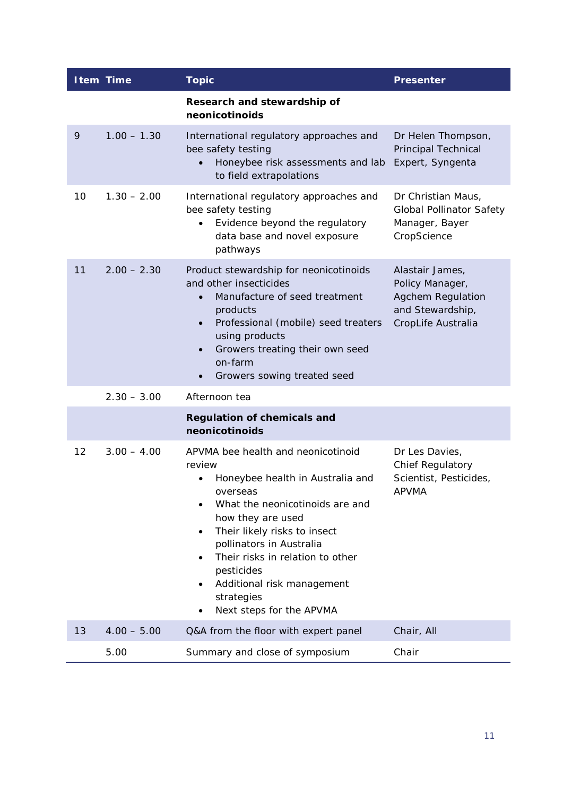|    | <b>Item Time</b> | <b>Topic</b>                                                                                                                                                                                                                                                                                                                                                              | <b>Presenter</b>                                                                                  |
|----|------------------|---------------------------------------------------------------------------------------------------------------------------------------------------------------------------------------------------------------------------------------------------------------------------------------------------------------------------------------------------------------------------|---------------------------------------------------------------------------------------------------|
|    |                  | Research and stewardship of<br>neonicotinoids                                                                                                                                                                                                                                                                                                                             |                                                                                                   |
| 9  | $1.00 - 1.30$    | International regulatory approaches and<br>bee safety testing<br>Honeybee risk assessments and lab<br>to field extrapolations                                                                                                                                                                                                                                             | Dr Helen Thompson,<br>Principal Technical<br>Expert, Syngenta                                     |
| 10 | $1.30 - 2.00$    | International regulatory approaches and<br>bee safety testing<br>Evidence beyond the regulatory<br>data base and novel exposure<br>pathways                                                                                                                                                                                                                               | Dr Christian Maus,<br><b>Global Pollinator Safety</b><br>Manager, Bayer<br>CropScience            |
| 11 | $2.00 - 2.30$    | Product stewardship for neonicotinoids<br>and other insecticides<br>Manufacture of seed treatment<br>$\bullet$<br>products<br>Professional (mobile) seed treaters<br>$\bullet$<br>using products<br>Growers treating their own seed<br>$\bullet$<br>on-farm<br>Growers sowing treated seed                                                                                | Alastair James,<br>Policy Manager,<br>Agchem Regulation<br>and Stewardship,<br>CropLife Australia |
|    | $2.30 - 3.00$    | Afternoon tea                                                                                                                                                                                                                                                                                                                                                             |                                                                                                   |
|    |                  | <b>Regulation of chemicals and</b><br>neonicotinoids                                                                                                                                                                                                                                                                                                                      |                                                                                                   |
| 12 | $3.00 - 4.00$    | APVMA bee health and neonicotinoid<br>review<br>Honeybee health in Australia and<br>overseas<br>What the neonicotinoids are and<br>how they are used<br>Their likely risks to insect<br>$\bullet$<br>pollinators in Australia<br>Their risks in relation to other<br>pesticides<br>Additional risk management<br>$\bullet$<br>strategies<br>Next steps for the APVMA<br>٠ | Dr Les Davies,<br><b>Chief Regulatory</b><br>Scientist, Pesticides,<br><b>APVMA</b>               |
| 13 | $4.00 - 5.00$    | Q&A from the floor with expert panel                                                                                                                                                                                                                                                                                                                                      | Chair, All                                                                                        |
|    | 5.00             | Summary and close of symposium                                                                                                                                                                                                                                                                                                                                            | Chair                                                                                             |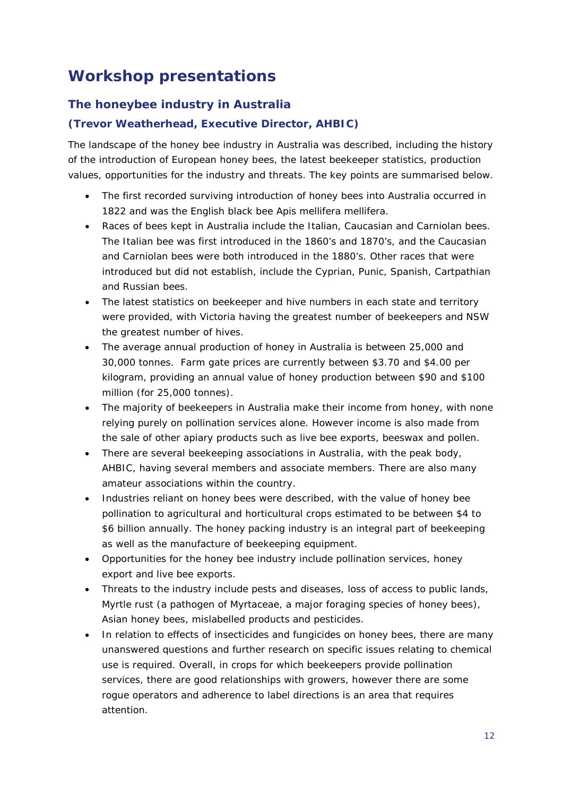# <span id="page-13-0"></span>**Workshop presentations**

# <span id="page-13-1"></span>**The honeybee industry in Australia**

# **(***Trevor Weatherhead, Executive Director, AHBIC***)**

The landscape of the honey bee industry in Australia was described, including the history of the introduction of European honey bees, the latest beekeeper statistics, production values, opportunities for the industry and threats. The key points are summarised below.

- The first recorded surviving introduction of honey bees into Australia occurred in 1822 and was the English black bee *Apis mellifera mellifera*.
- Races of bees kept in Australia include the Italian, Caucasian and Carniolan bees. The Italian bee was first introduced in the 1860's and 1870's, and the Caucasian and Carniolan bees were both introduced in the 1880's. Other races that were introduced but did not establish, include the Cyprian, Punic, Spanish, Cartpathian and Russian bees.
- The latest statistics on beekeeper and hive numbers in each state and territory were provided, with Victoria having the greatest number of beekeepers and NSW the greatest number of hives.
- The average annual production of honey in Australia is between 25,000 and 30,000 tonnes. Farm gate prices are currently between \$3.70 and \$4.00 per kilogram, providing an annual value of honey production between \$90 and \$100 million (for 25,000 tonnes).
- The majority of beekeepers in Australia make their income from honey, with none relying purely on pollination services alone. However income is also made from the sale of other apiary products such as live bee exports, beeswax and pollen.
- There are several beekeeping associations in Australia, with the peak body, AHBIC, having several members and associate members. There are also many amateur associations within the country.
- Industries reliant on honey bees were described, with the value of honey bee pollination to agricultural and horticultural crops estimated to be between \$4 to \$6 billion annually. The honey packing industry is an integral part of beekeeping as well as the manufacture of beekeeping equipment.
- Opportunities for the honey bee industry include pollination services, honey export and live bee exports.
- Threats to the industry include pests and diseases, loss of access to public lands, Myrtle rust (a pathogen of Myrtaceae, a major foraging species of honey bees), Asian honey bees, mislabelled products and pesticides.
- In relation to effects of insecticides and fungicides on honey bees, there are many unanswered questions and further research on specific issues relating to chemical use is required. Overall, in crops for which beekeepers provide pollination services, there are good relationships with growers, however there are some rogue operators and adherence to label directions is an area that requires attention.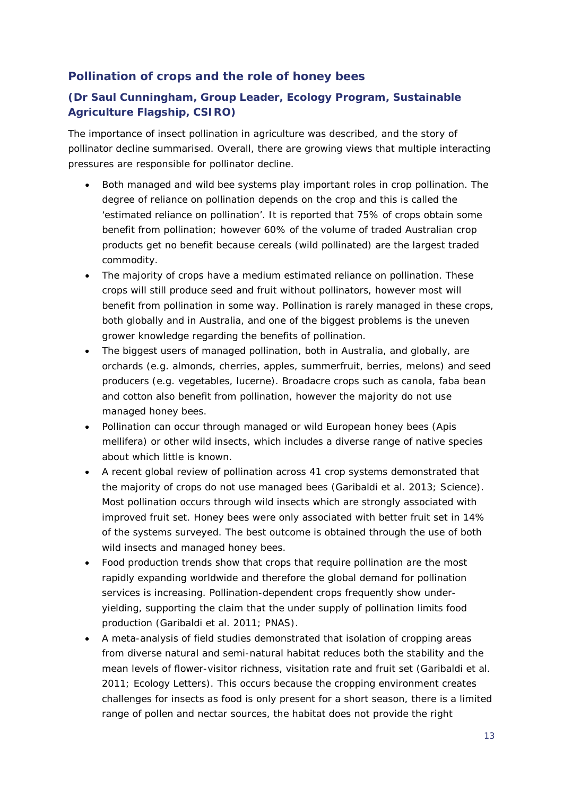## <span id="page-14-0"></span>**Pollination of crops and the role of honey bees**

# **(***Dr Saul Cunningham, Group Leader, Ecology Program, Sustainable Agriculture Flagship, CSIRO***)**

The importance of insect pollination in agriculture was described, and the story of pollinator decline summarised. Overall, there are growing views that multiple interacting pressures are responsible for pollinator decline.

- Both managed and wild bee systems play important roles in crop pollination. The degree of reliance on pollination depends on the crop and this is called the 'estimated reliance on pollination'. It is reported that 75% of crops obtain some benefit from pollination; however 60% of the volume of traded Australian crop products get no benefit because cereals (wild pollinated) are the largest traded commodity.
- The majority of crops have a medium estimated reliance on pollination. These crops will still produce seed and fruit without pollinators, however most will benefit from pollination in some way. Pollination is rarely managed in these crops, both globally and in Australia, and one of the biggest problems is the uneven grower knowledge regarding the benefits of pollination.
- The biggest users of managed pollination, both in Australia, and globally, are orchards (e.g. almonds, cherries, apples, summerfruit, berries, melons) and seed producers (e.g. vegetables, lucerne). Broadacre crops such as canola, faba bean and cotton also benefit from pollination, however the majority do not use managed honey bees.
- Pollination can occur through managed or wild European honey bees (*Apis mellifera*) or other wild insects, which includes a diverse range of native species about which little is known.
- A recent global review of pollination across 41 crop systems demonstrated that the majority of crops do not use managed bees (*Garibaldi et al. 2013; Science*). Most pollination occurs through wild insects which are strongly associated with improved fruit set. Honey bees were only associated with better fruit set in 14% of the systems surveyed. The best outcome is obtained through the use of both wild insects and managed honey bees.
- Food production trends show that crops that require pollination are the most rapidly expanding worldwide and therefore the global demand for pollination services is increasing. Pollination-dependent crops frequently show underyielding, supporting the claim that the under supply of pollination limits food production (*Garibaldi et al*. *2011; PNAS*).
- A meta-analysis of field studies demonstrated that isolation of cropping areas from diverse natural and semi-natural habitat reduces both the stability and the mean levels of flower-visitor richness, visitation rate and fruit set (*Garibaldi et al. 2011; Ecology Letters*). This occurs because the cropping environment creates challenges for insects as food is only present for a short season, there is a limited range of pollen and nectar sources, the habitat does not provide the right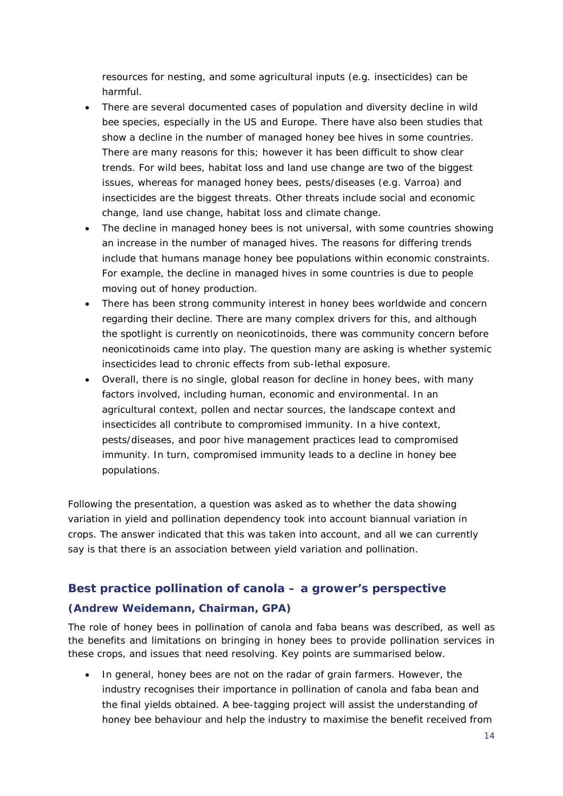resources for nesting, and some agricultural inputs (e.g. insecticides) can be harmful.

- There are several documented cases of population and diversity decline in wild bee species, especially in the US and Europe. There have also been studies that show a decline in the number of managed honey bee hives in some countries. There are many reasons for this; however it has been difficult to show clear trends. For wild bees, habitat loss and land use change are two of the biggest issues, whereas for managed honey bees, pests/diseases (e.g. Varroa) and insecticides are the biggest threats. Other threats include social and economic change, land use change, habitat loss and climate change.
- The decline in managed honey bees is not universal, with some countries showing an increase in the number of managed hives. The reasons for differing trends include that humans manage honey bee populations within economic constraints. For example, the decline in managed hives in some countries is due to people moving out of honey production.
- There has been strong community interest in honey bees worldwide and concern regarding their decline. There are many complex drivers for this, and although the spotlight is currently on neonicotinoids, there was community concern before neonicotinoids came into play. The question many are asking is whether systemic insecticides lead to chronic effects from sub-lethal exposure.
- Overall, there is no single, global reason for decline in honey bees, with many factors involved, including human, economic and environmental. In an agricultural context, pollen and nectar sources, the landscape context and insecticides all contribute to compromised immunity. In a hive context, pests/diseases, and poor hive management practices lead to compromised immunity. In turn, compromised immunity leads to a decline in honey bee populations.

Following the presentation, a question was asked as to whether the data showing variation in yield and pollination dependency took into account biannual variation in crops. The answer indicated that this was taken into account, and all we can currently say is that there is an association between yield variation and pollination.

# <span id="page-15-0"></span>**Best practice pollination of canola – a grower's perspective (***Andrew Weidemann, Chairman, GPA***)**

The role of honey bees in pollination of canola and faba beans was described, as well as the benefits and limitations on bringing in honey bees to provide pollination services in these crops, and issues that need resolving. Key points are summarised below.

• In general, honey bees are not on the radar of grain farmers. However, the industry recognises their importance in pollination of canola and faba bean and the final yields obtained. A bee-tagging project will assist the understanding of honey bee behaviour and help the industry to maximise the benefit received from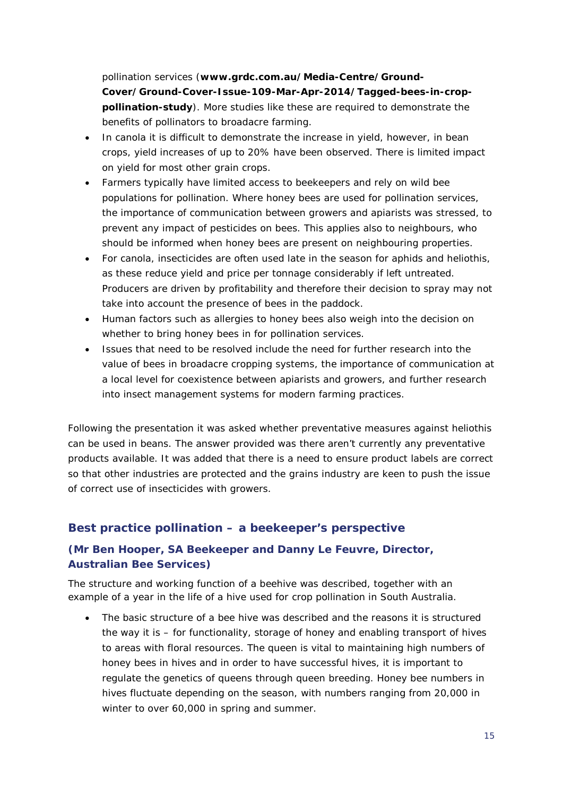pollination services (**[www.grdc.com.au/Media-Centre/Ground-](http://www.grdc.com.au/Media-Centre/Ground-Cover/Ground-Cover-Issue-109-Mar-Apr-2014/Tagged-bees-in-crop-pollination-study)[Cover/Ground-Cover-Issue-109-Mar-Apr-2014/Tagged-bees-in-crop](http://www.grdc.com.au/Media-Centre/Ground-Cover/Ground-Cover-Issue-109-Mar-Apr-2014/Tagged-bees-in-crop-pollination-study)[pollination-study](http://www.grdc.com.au/Media-Centre/Ground-Cover/Ground-Cover-Issue-109-Mar-Apr-2014/Tagged-bees-in-crop-pollination-study)**). More studies like these are required to demonstrate the benefits of pollinators to broadacre farming.

- In canola it is difficult to demonstrate the increase in yield, however, in bean crops, yield increases of up to 20% have been observed. There is limited impact on yield for most other grain crops.
- Farmers typically have limited access to beekeepers and rely on wild bee populations for pollination. Where honey bees are used for pollination services, the importance of communication between growers and apiarists was stressed, to prevent any impact of pesticides on bees. This applies also to neighbours, who should be informed when honey bees are present on neighbouring properties.
- For canola, insecticides are often used late in the season for aphids and heliothis, as these reduce yield and price per tonnage considerably if left untreated. Producers are driven by profitability and therefore their decision to spray may not take into account the presence of bees in the paddock.
- Human factors such as allergies to honey bees also weigh into the decision on whether to bring honey bees in for pollination services.
- Issues that need to be resolved include the need for further research into the value of bees in broadacre cropping systems, the importance of communication at a local level for coexistence between apiarists and growers, and further research into insect management systems for modern farming practices.

Following the presentation it was asked whether preventative measures against heliothis can be used in beans. The answer provided was there aren't currently any preventative products available. It was added that there is a need to ensure product labels are correct so that other industries are protected and the grains industry are keen to push the issue of correct use of insecticides with growers.

#### <span id="page-16-0"></span>**Best practice pollination – a beekeeper's perspective**

#### **(***Mr Ben Hooper, SA Beekeeper and Danny Le Feuvre, Director, Australian Bee Services***)**

The structure and working function of a beehive was described, together with an example of a year in the life of a hive used for crop pollination in South Australia.

• The basic structure of a bee hive was described and the reasons it is structured the way it is – for functionality, storage of honey and enabling transport of hives to areas with floral resources. The queen is vital to maintaining high numbers of honey bees in hives and in order to have successful hives, it is important to regulate the genetics of queens through queen breeding. Honey bee numbers in hives fluctuate depending on the season, with numbers ranging from 20,000 in winter to over 60,000 in spring and summer.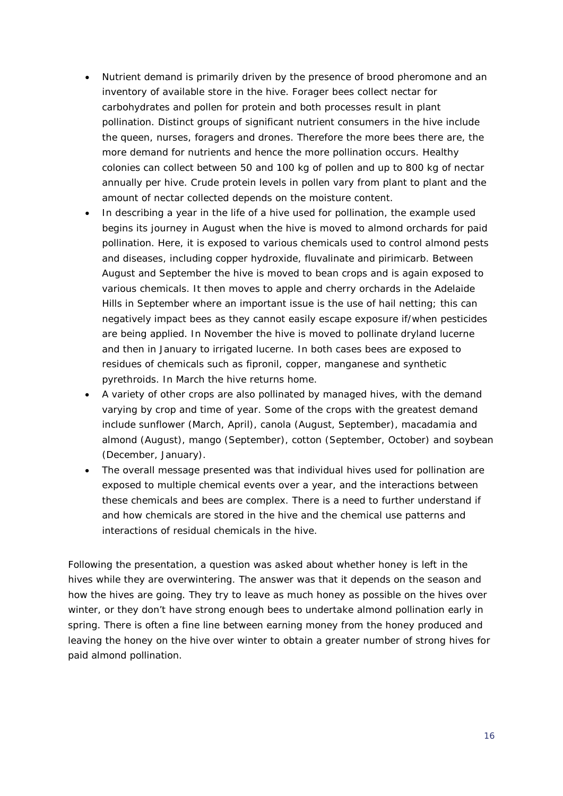- Nutrient demand is primarily driven by the presence of brood pheromone and an inventory of available store in the hive. Forager bees collect nectar for carbohydrates and pollen for protein and both processes result in plant pollination. Distinct groups of significant nutrient consumers in the hive include the queen, nurses, foragers and drones. Therefore the more bees there are, the more demand for nutrients and hence the more pollination occurs. Healthy colonies can collect between 50 and 100 kg of pollen and up to 800 kg of nectar annually per hive. Crude protein levels in pollen vary from plant to plant and the amount of nectar collected depends on the moisture content.
- In describing a year in the life of a hive used for pollination, the example used begins its journey in August when the hive is moved to almond orchards for paid pollination. Here, it is exposed to various chemicals used to control almond pests and diseases, including copper hydroxide, fluvalinate and pirimicarb. Between August and September the hive is moved to bean crops and is again exposed to various chemicals. It then moves to apple and cherry orchards in the Adelaide Hills in September where an important issue is the use of hail netting; this can negatively impact bees as they cannot easily escape exposure if/when pesticides are being applied. In November the hive is moved to pollinate dryland lucerne and then in January to irrigated lucerne. In both cases bees are exposed to residues of chemicals such as fipronil, copper, manganese and synthetic pyrethroids. In March the hive returns home.
- A variety of other crops are also pollinated by managed hives, with the demand varying by crop and time of year. Some of the crops with the greatest demand include sunflower (March, April), canola (August, September), macadamia and almond (August), mango (September), cotton (September, October) and soybean (December, January).
- The overall message presented was that individual hives used for pollination are exposed to multiple chemical events over a year, and the interactions between these chemicals and bees are complex. There is a need to further understand if and how chemicals are stored in the hive and the chemical use patterns and interactions of residual chemicals in the hive.

Following the presentation, a question was asked about whether honey is left in the hives while they are overwintering. The answer was that it depends on the season and how the hives are going. They try to leave as much honey as possible on the hives over winter, or they don't have strong enough bees to undertake almond pollination early in spring. There is often a fine line between earning money from the honey produced and leaving the honey on the hive over winter to obtain a greater number of strong hives for paid almond pollination.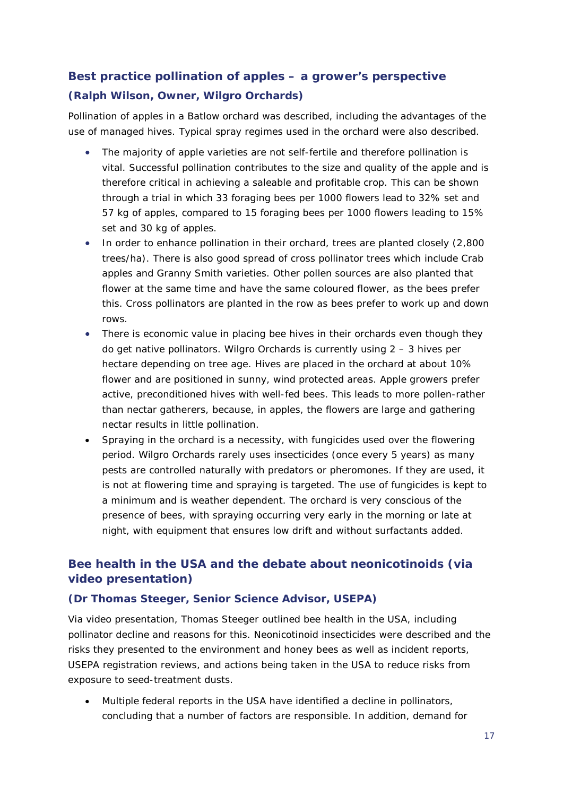# <span id="page-18-0"></span>**Best practice pollination of apples – a grower's perspective (***Ralph Wilson, Owner, Wilgro Orchards***)**

Pollination of apples in a Batlow orchard was described, including the advantages of the use of managed hives. Typical spray regimes used in the orchard were also described.

- The majority of apple varieties are not self-fertile and therefore pollination is vital. Successful pollination contributes to the size and quality of the apple and is therefore critical in achieving a saleable and profitable crop. This can be shown through a trial in which 33 foraging bees per 1000 flowers lead to 32% set and 57 kg of apples, compared to 15 foraging bees per 1000 flowers leading to 15% set and 30 kg of apples.
- In order to enhance pollination in their orchard, trees are planted closely (2,800 trees/ha). There is also good spread of cross pollinator trees which include Crab apples and Granny Smith varieties. Other pollen sources are also planted that flower at the same time and have the same coloured flower, as the bees prefer this. Cross pollinators are planted in the row as bees prefer to work up and down rows.
- There is economic value in placing bee hives in their orchards even though they do get native pollinators. Wilgro Orchards is currently using 2 – 3 hives per hectare depending on tree age. Hives are placed in the orchard at about 10% flower and are positioned in sunny, wind protected areas. Apple growers prefer active, preconditioned hives with well-fed bees. This leads to more pollen-rather than nectar gatherers, because, in apples, the flowers are large and gathering nectar results in little pollination.
- Spraying in the orchard is a necessity, with fungicides used over the flowering period. Wilgro Orchards rarely uses insecticides (once every 5 years) as many pests are controlled naturally with predators or pheromones. If they are used, it is not at flowering time and spraying is targeted. The use of fungicides is kept to a minimum and is weather dependent. The orchard is very conscious of the presence of bees, with spraying occurring very early in the morning or late at night, with equipment that ensures low drift and without surfactants added.

# <span id="page-18-1"></span>**Bee health in the USA and the debate about neonicotinoids (via video presentation)**

#### **(***Dr Thomas Steeger, Senior Science Advisor, USEPA***)**

Via video presentation, Thomas Steeger outlined bee health in the USA, including pollinator decline and reasons for this. Neonicotinoid insecticides were described and the risks they presented to the environment and honey bees as well as incident reports, USEPA registration reviews, and actions being taken in the USA to reduce risks from exposure to seed-treatment dusts.

• Multiple federal reports in the USA have identified a decline in pollinators, concluding that a number of factors are responsible. In addition, demand for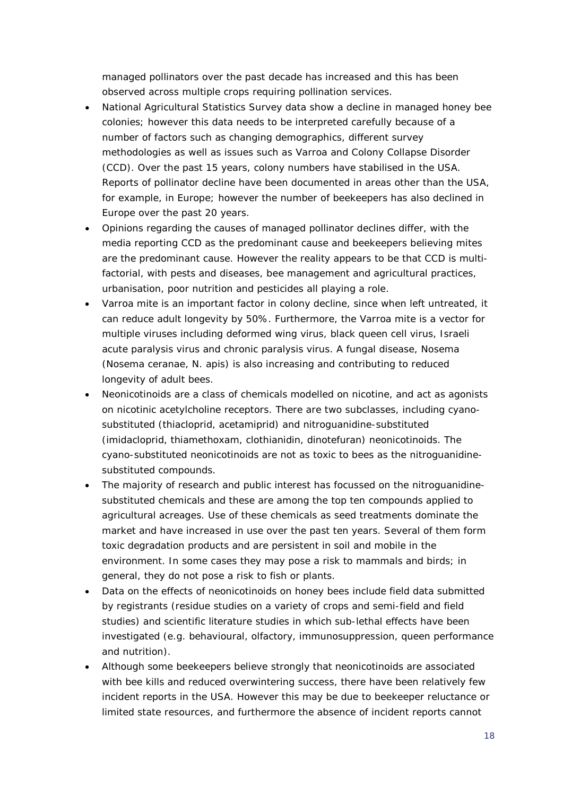managed pollinators over the past decade has increased and this has been observed across multiple crops requiring pollination services.

- National Agricultural Statistics Survey data show a decline in managed honey bee colonies; however this data needs to be interpreted carefully because of a number of factors such as changing demographics, different survey methodologies as well as issues such as Varroa and Colony Collapse Disorder (CCD). Over the past 15 years, colony numbers have stabilised in the USA. Reports of pollinator decline have been documented in areas other than the USA, for example, in Europe; however the number of beekeepers has also declined in Europe over the past 20 years.
- Opinions regarding the causes of managed pollinator declines differ, with the media reporting CCD as the predominant cause and beekeepers believing mites are the predominant cause. However the reality appears to be that CCD is multifactorial, with pests and diseases, bee management and agricultural practices, urbanisation, poor nutrition and pesticides all playing a role.
- Varroa mite is an important factor in colony decline, since when left untreated, it can reduce adult longevity by 50%. Furthermore, the Varroa mite is a vector for multiple viruses including deformed wing virus, black queen cell virus, Israeli acute paralysis virus and chronic paralysis virus. A fungal disease, Nosema (*Nosema ceranae, N. apis*) is also increasing and contributing to reduced longevity of adult bees.
- Neonicotinoids are a class of chemicals modelled on nicotine, and act as agonists on nicotinic acetylcholine receptors. There are two subclasses, including cyanosubstituted (thiacloprid, acetamiprid) and nitroguanidine-substituted (imidacloprid, thiamethoxam, clothianidin, dinotefuran) neonicotinoids. The cyano-substituted neonicotinoids are not as toxic to bees as the nitroguanidinesubstituted compounds.
- The majority of research and public interest has focussed on the nitroguanidinesubstituted chemicals and these are among the top ten compounds applied to agricultural acreages. Use of these chemicals as seed treatments dominate the market and have increased in use over the past ten years. Several of them form toxic degradation products and are persistent in soil and mobile in the environment. In some cases they may pose a risk to mammals and birds; in general, they do not pose a risk to fish or plants.
- Data on the effects of neonicotinoids on honey bees include field data submitted by registrants (residue studies on a variety of crops and semi-field and field studies) and scientific literature studies in which sub-lethal effects have been investigated (e.g. behavioural, olfactory, immunosuppression, queen performance and nutrition).
- Although some beekeepers believe strongly that neonicotinoids are associated with bee kills and reduced overwintering success, there have been relatively few incident reports in the USA. However this may be due to beekeeper reluctance or limited state resources, and furthermore the absence of incident reports cannot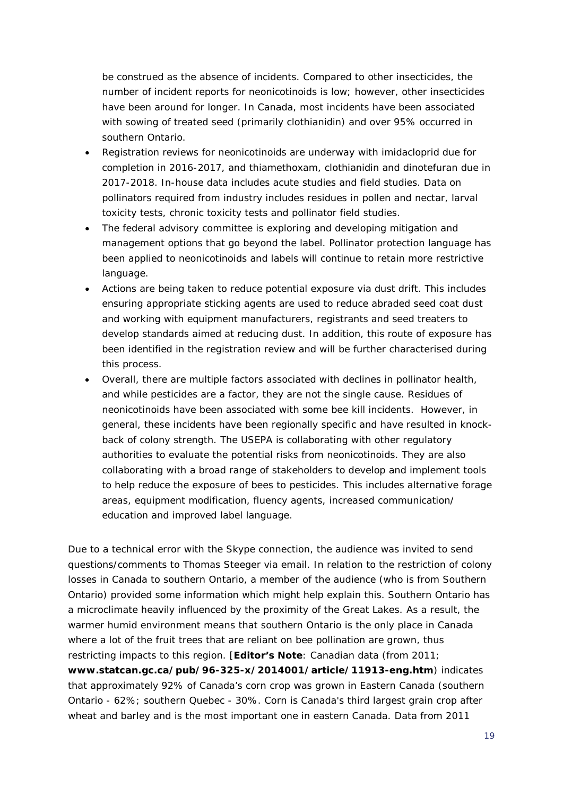be construed as the absence of incidents. Compared to other insecticides, the number of incident reports for neonicotinoids is low; however, other insecticides have been around for longer. In Canada, most incidents have been associated with sowing of treated seed (primarily clothianidin) and over 95% occurred in southern Ontario.

- Registration reviews for neonicotinoids are underway with imidacloprid due for completion in 2016-2017, and thiamethoxam, clothianidin and dinotefuran due in 2017-2018. In-house data includes acute studies and field studies. Data on pollinators required from industry includes residues in pollen and nectar, larval toxicity tests, chronic toxicity tests and pollinator field studies.
- The federal advisory committee is exploring and developing mitigation and management options that go beyond the label. Pollinator protection language has been applied to neonicotinoids and labels will continue to retain more restrictive language.
- Actions are being taken to reduce potential exposure via dust drift. This includes ensuring appropriate sticking agents are used to reduce abraded seed coat dust and working with equipment manufacturers, registrants and seed treaters to develop standards aimed at reducing dust. In addition, this route of exposure has been identified in the registration review and will be further characterised during this process.
- Overall, there are multiple factors associated with declines in pollinator health, and while pesticides are a factor, they are not the single cause. Residues of neonicotinoids have been associated with some bee kill incidents. However, in general, these incidents have been regionally specific and have resulted in knockback of colony strength. The USEPA is collaborating with other regulatory authorities to evaluate the potential risks from neonicotinoids. They are also collaborating with a broad range of stakeholders to develop and implement tools to help reduce the exposure of bees to pesticides. This includes alternative forage areas, equipment modification, fluency agents, increased communication/ education and improved label language.

Due to a technical error with the Skype connection, the audience was invited to send questions/comments to Thomas Steeger via email. In relation to the restriction of colony losses in Canada to southern Ontario, a member of the audience (who is from Southern Ontario) provided some information which might help explain this. Southern Ontario has a microclimate heavily influenced by the proximity of the Great Lakes. As a result, the warmer humid environment means that southern Ontario is the only place in Canada where a lot of the fruit trees that are reliant on bee pollination are grown, thus restricting impacts to this region. [**Editor's Note**: Canadian data (from 2011; **[www.statcan.gc.ca/pub/96-325-x/2014001/article/11913-eng.htm](http://www.statcan.gc.ca/pub/96-325-x/2014001/article/11913-eng.htm)**) indicates that approximately 92% of Canada's corn crop was grown in Eastern Canada (southern Ontario - 62%; southern Quebec - 30%. Corn is Canada's third largest grain crop after wheat and barley and is the most important one in eastern Canada. Data from 2011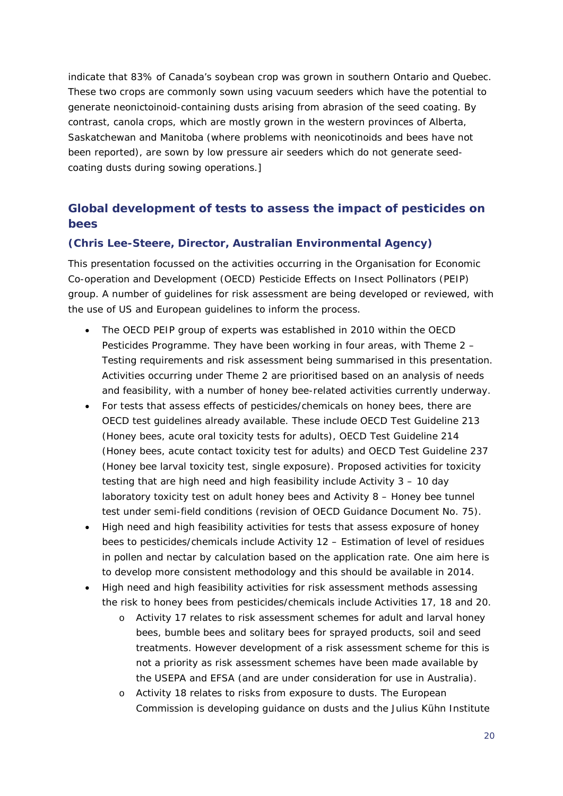indicate that 83% of Canada's soybean crop was grown in southern Ontario and Quebec. These two crops are commonly sown using vacuum seeders which have the potential to generate neonictoinoid-containing dusts arising from abrasion of the seed coating. By contrast, canola crops, which are mostly grown in the western provinces of Alberta, Saskatchewan and Manitoba (where problems with neonicotinoids and bees have not been reported), are sown by low pressure air seeders which do not generate seedcoating dusts during sowing operations.]

# <span id="page-21-0"></span>**Global development of tests to assess the impact of pesticides on bees**

#### **(***Chris Lee-Steere, Director, Australian Environmental Agency***)**

This presentation focussed on the activities occurring in the Organisation for Economic Co-operation and Development (OECD) Pesticide Effects on Insect Pollinators (PEIP) group. A number of guidelines for risk assessment are being developed or reviewed, with the use of US and European guidelines to inform the process.

- The OECD PEIP group of experts was established in 2010 within the OECD Pesticides Programme. They have been working in four areas, with Theme 2 – Testing requirements and risk assessment being summarised in this presentation. Activities occurring under Theme 2 are prioritised based on an analysis of needs and feasibility, with a number of honey bee-related activities currently underway.
- For tests that assess effects of pesticides/chemicals on honey bees, there are OECD test guidelines already available. These include OECD Test Guideline 213 (Honey bees, acute oral toxicity tests for adults), OECD Test Guideline 214 (Honey bees, acute contact toxicity test for adults) and OECD Test Guideline 237 (Honey bee larval toxicity test, single exposure). Proposed activities for toxicity testing that are high need and high feasibility include Activity 3 – 10 day laboratory toxicity test on adult honey bees and Activity 8 – Honey bee tunnel test under semi-field conditions (revision of OECD Guidance Document No. 75).
- High need and high feasibility activities for tests that assess exposure of honey bees to pesticides/chemicals include Activity 12 – Estimation of level of residues in pollen and nectar by calculation based on the application rate. One aim here is to develop more consistent methodology and this should be available in 2014.
- High need and high feasibility activities for risk assessment methods assessing the risk to honey bees from pesticides/chemicals include Activities 17, 18 and 20.
	- o Activity 17 relates to risk assessment schemes for adult and larval honey bees, bumble bees and solitary bees for sprayed products, soil and seed treatments. However development of a risk assessment scheme for this is not a priority as risk assessment schemes have been made available by the USEPA and EFSA (and are under consideration for use in Australia).
	- o Activity 18 relates to risks from exposure to dusts. The European Commission is developing guidance on dusts and the Julius Kühn Institute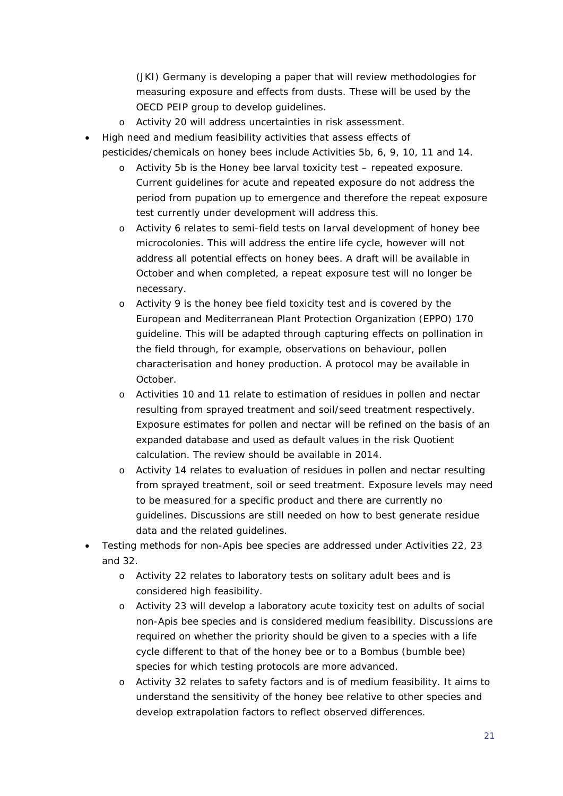(JKI) Germany is developing a paper that will review methodologies for measuring exposure and effects from dusts. These will be used by the OECD PEIP group to develop guidelines.

- o Activity 20 will address uncertainties in risk assessment.
- High need and medium feasibility activities that assess effects of pesticides/chemicals on honey bees include Activities 5b, 6, 9, 10, 11 and 14.
	- o Activity 5b is the Honey bee larval toxicity test repeated exposure. Current guidelines for acute and repeated exposure do not address the period from pupation up to emergence and therefore the repeat exposure test currently under development will address this.
	- o Activity 6 relates to semi-field tests on larval development of honey bee microcolonies. This will address the entire life cycle, however will not address all potential effects on honey bees. A draft will be available in October and when completed, a repeat exposure test will no longer be necessary.
	- o Activity 9 is the honey bee field toxicity test and is covered by the European and Mediterranean Plant Protection Organization (EPPO) 170 guideline. This will be adapted through capturing effects on pollination in the field through, for example, observations on behaviour, pollen characterisation and honey production. A protocol may be available in October.
	- o Activities 10 and 11 relate to estimation of residues in pollen and nectar resulting from sprayed treatment and soil/seed treatment respectively. Exposure estimates for pollen and nectar will be refined on the basis of an expanded database and used as default values in the risk Quotient calculation. The review should be available in 2014.
	- o Activity 14 relates to evaluation of residues in pollen and nectar resulting from sprayed treatment, soil or seed treatment. Exposure levels may need to be measured for a specific product and there are currently no guidelines. Discussions are still needed on how to best generate residue data and the related guidelines.
- Testing methods for non-*Apis* bee species are addressed under Activities 22, 23 and 32.
	- o Activity 22 relates to laboratory tests on solitary adult bees and is considered high feasibility.
	- o Activity 23 will develop a laboratory acute toxicity test on adults of social non-*Apis* bee species and is considered medium feasibility. Discussions are required on whether the priority should be given to a species with a life cycle different to that of the honey bee or to a *Bombus* (bumble bee) species for which testing protocols are more advanced.
	- o Activity 32 relates to safety factors and is of medium feasibility. It aims to understand the sensitivity of the honey bee relative to other species and develop extrapolation factors to reflect observed differences.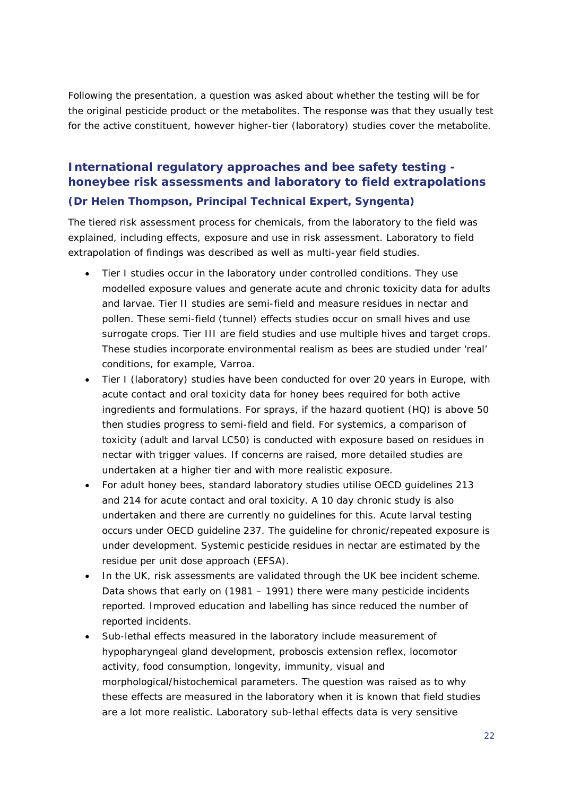Following the presentation, a question was asked about whether the testing will be for the original pesticide product or the metabolites. The response was that they usually test for the active constituent, however higher-tier (laboratory) studies cover the metabolite.

# <span id="page-23-0"></span>**International regulatory approaches and bee safety testing honeybee risk assessments and laboratory to field extrapolations (***Dr Helen Thompson, Principal Technical Expert, Syngenta***)**

The tiered risk assessment process for chemicals, from the laboratory to the field was explained, including effects, exposure and use in risk assessment. Laboratory to field extrapolation of findings was described as well as multi-year field studies.

- Tier I studies occur in the laboratory under controlled conditions. They use modelled exposure values and generate acute and chronic toxicity data for adults and larvae. Tier II studies are semi-field and measure residues in nectar and pollen. These semi-field (tunnel) effects studies occur on small hives and use surrogate crops. Tier III are field studies and use multiple hives and target crops. These studies incorporate environmental realism as bees are studied under 'real' conditions, for example, Varroa.
- Tier I (laboratory) studies have been conducted for over 20 years in Europe, with acute contact and oral toxicity data for honey bees required for both active ingredients and formulations. For sprays, if the hazard quotient (HQ) is above 50 then studies progress to semi-field and field. For systemics, a comparison of toxicity (adult and larval LC50) is conducted with exposure based on residues in nectar with trigger values. If concerns are raised, more detailed studies are undertaken at a higher tier and with more realistic exposure.
- For adult honey bees, standard laboratory studies utilise OECD guidelines 213 and 214 for acute contact and oral toxicity. A 10 day chronic study is also undertaken and there are currently no guidelines for this. Acute larval testing occurs under OECD guideline 237. The guideline for chronic/repeated exposure is under development. Systemic pesticide residues in nectar are estimated by the residue per unit dose approach (EFSA).
- In the UK, risk assessments are validated through the UK bee incident scheme. Data shows that early on (1981 – 1991) there were many pesticide incidents reported. Improved education and labelling has since reduced the number of reported incidents.
- Sub-lethal effects measured in the laboratory include measurement of hypopharyngeal gland development, proboscis extension reflex, locomotor activity, food consumption, longevity, immunity, visual and morphological/histochemical parameters. The question was raised as to why these effects are measured in the laboratory when it is known that field studies are a lot more realistic. Laboratory sub-lethal effects data is very sensitive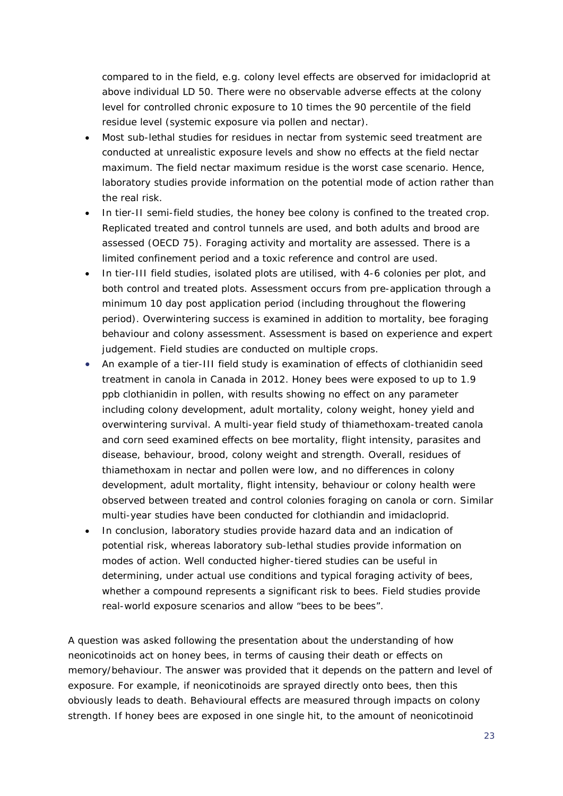compared to in the field, e.g. colony level effects are observed for imidacloprid at above individual LD 50. There were no observable adverse effects at the colony level for controlled chronic exposure to 10 times the 90 percentile of the field residue level (systemic exposure via pollen and nectar).

- Most sub-lethal studies for residues in nectar from systemic seed treatment are conducted at unrealistic exposure levels and show no effects at the field nectar maximum. The field nectar maximum residue is the worst case scenario. Hence, laboratory studies provide information on the potential mode of action rather than the real risk.
- In tier-II semi-field studies, the honey bee colony is confined to the treated crop. Replicated treated and control tunnels are used, and both adults and brood are assessed (OECD 75). Foraging activity and mortality are assessed. There is a limited confinement period and a toxic reference and control are used.
- In tier-III field studies, isolated plots are utilised, with 4-6 colonies per plot, and both control and treated plots. Assessment occurs from pre-application through a minimum 10 day post application period (including throughout the flowering period). Overwintering success is examined in addition to mortality, bee foraging behaviour and colony assessment. Assessment is based on experience and expert judgement. Field studies are conducted on multiple crops.
- An example of a tier-III field study is examination of effects of clothianidin seed treatment in canola in Canada in 2012. Honey bees were exposed to up to 1.9 ppb clothianidin in pollen, with results showing no effect on any parameter including colony development, adult mortality, colony weight, honey yield and overwintering survival. A multi-year field study of thiamethoxam-treated canola and corn seed examined effects on bee mortality, flight intensity, parasites and disease, behaviour, brood, colony weight and strength. Overall, residues of thiamethoxam in nectar and pollen were low, and no differences in colony development, adult mortality, flight intensity, behaviour or colony health were observed between treated and control colonies foraging on canola or corn. Similar multi-year studies have been conducted for clothiandin and imidacloprid.
- In conclusion, laboratory studies provide hazard data and an indication of potential risk, whereas laboratory sub-lethal studies provide information on modes of action. Well conducted higher-tiered studies can be useful in determining, under actual use conditions and typical foraging activity of bees, whether a compound represents a significant risk to bees. Field studies provide real-world exposure scenarios and allow "bees to be bees".

A question was asked following the presentation about the understanding of how neonicotinoids act on honey bees, in terms of causing their death or effects on memory/behaviour. The answer was provided that it depends on the pattern and level of exposure. For example, if neonicotinoids are sprayed directly onto bees, then this obviously leads to death. Behavioural effects are measured through impacts on colony strength. If honey bees are exposed in one single hit, to the amount of neonicotinoid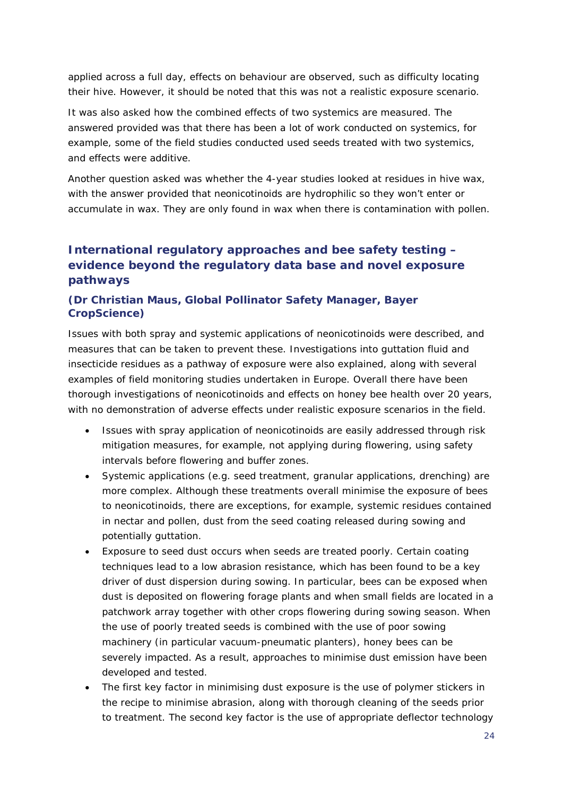applied across a full day, effects on behaviour are observed, such as difficulty locating their hive. However, it should be noted that this was not a realistic exposure scenario.

It was also asked how the combined effects of two systemics are measured. The answered provided was that there has been a lot of work conducted on systemics, for example, some of the field studies conducted used seeds treated with two systemics, and effects were additive.

Another question asked was whether the 4-year studies looked at residues in hive wax, with the answer provided that neonicotinoids are hydrophilic so they won't enter or accumulate in wax. They are only found in wax when there is contamination with pollen.

# <span id="page-25-0"></span>**International regulatory approaches and bee safety testing – evidence beyond the regulatory data base and novel exposure pathways**

## **(***Dr Christian Maus, Global Pollinator Safety Manager, Bayer CropScience***)**

Issues with both spray and systemic applications of neonicotinoids were described, and measures that can be taken to prevent these. Investigations into guttation fluid and insecticide residues as a pathway of exposure were also explained, along with several examples of field monitoring studies undertaken in Europe. Overall there have been thorough investigations of neonicotinoids and effects on honey bee health over 20 years, with no demonstration of adverse effects under realistic exposure scenarios in the field.

- Issues with spray application of neonicotinoids are easily addressed through risk mitigation measures, for example, not applying during flowering, using safety intervals before flowering and buffer zones.
- Systemic applications (e.g. seed treatment, granular applications, drenching) are more complex. Although these treatments overall minimise the exposure of bees to neonicotinoids, there are exceptions, for example, systemic residues contained in nectar and pollen, dust from the seed coating released during sowing and potentially guttation.
- Exposure to seed dust occurs when seeds are treated poorly. Certain coating techniques lead to a low abrasion resistance, which has been found to be a key driver of dust dispersion during sowing. In particular, bees can be exposed when dust is deposited on flowering forage plants and when small fields are located in a patchwork array together with other crops flowering during sowing season. When the use of poorly treated seeds is combined with the use of poor sowing machinery (in particular vacuum-pneumatic planters), honey bees can be severely impacted. As a result, approaches to minimise dust emission have been developed and tested.
- The first key factor in minimising dust exposure is the use of polymer stickers in the recipe to minimise abrasion, along with thorough cleaning of the seeds prior to treatment. The second key factor is the use of appropriate deflector technology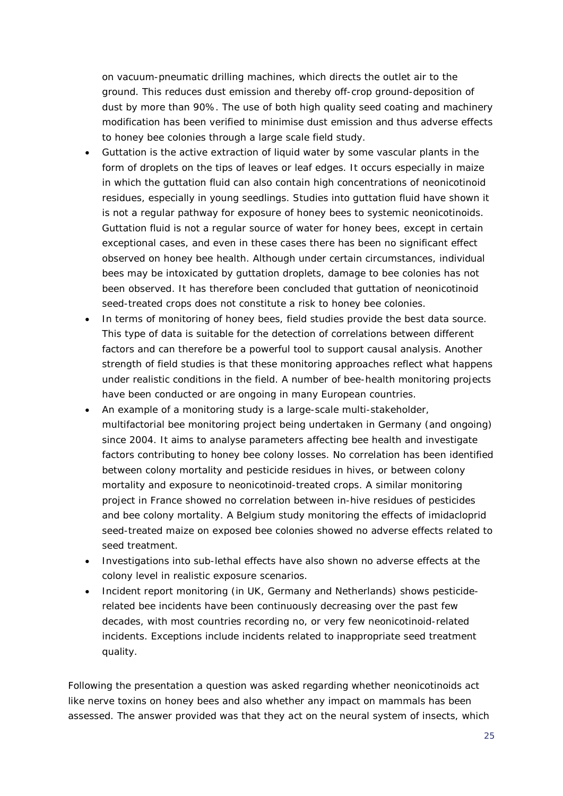on vacuum-pneumatic drilling machines, which directs the outlet air to the ground. This reduces dust emission and thereby off-crop ground-deposition of dust by more than 90%. The use of both high quality seed coating and machinery modification has been verified to minimise dust emission and thus adverse effects to honey bee colonies through a large scale field study.

- Guttation is the active extraction of liquid water by some vascular plants in the form of droplets on the tips of leaves or leaf edges. It occurs especially in maize in which the guttation fluid can also contain high concentrations of neonicotinoid residues, especially in young seedlings. Studies into guttation fluid have shown it is not a regular pathway for exposure of honey bees to systemic neonicotinoids. Guttation fluid is not a regular source of water for honey bees, except in certain exceptional cases, and even in these cases there has been no significant effect observed on honey bee health. Although under certain circumstances, individual bees may be intoxicated by guttation droplets, damage to bee colonies has not been observed. It has therefore been concluded that guttation of neonicotinoid seed-treated crops does not constitute a risk to honey bee colonies.
- In terms of monitoring of honey bees, field studies provide the best data source. This type of data is suitable for the detection of correlations between different factors and can therefore be a powerful tool to support causal analysis. Another strength of field studies is that these monitoring approaches reflect what happens under realistic conditions in the field. A number of bee-health monitoring projects have been conducted or are ongoing in many European countries.
- An example of a monitoring study is a large-scale multi-stakeholder, multifactorial bee monitoring project being undertaken in Germany (and ongoing) since 2004. It aims to analyse parameters affecting bee health and investigate factors contributing to honey bee colony losses. No correlation has been identified between colony mortality and pesticide residues in hives, or between colony mortality and exposure to neonicotinoid-treated crops. A similar monitoring project in France showed no correlation between in-hive residues of pesticides and bee colony mortality. A Belgium study monitoring the effects of imidacloprid seed-treated maize on exposed bee colonies showed no adverse effects related to seed treatment.
- Investigations into sub-lethal effects have also shown no adverse effects at the colony level in realistic exposure scenarios.
- Incident report monitoring (in UK, Germany and Netherlands) shows pesticiderelated bee incidents have been continuously decreasing over the past few decades, with most countries recording no, or very few neonicotinoid-related incidents. Exceptions include incidents related to inappropriate seed treatment quality.

Following the presentation a question was asked regarding whether neonicotinoids act like nerve toxins on honey bees and also whether any impact on mammals has been assessed. The answer provided was that they act on the neural system of insects, which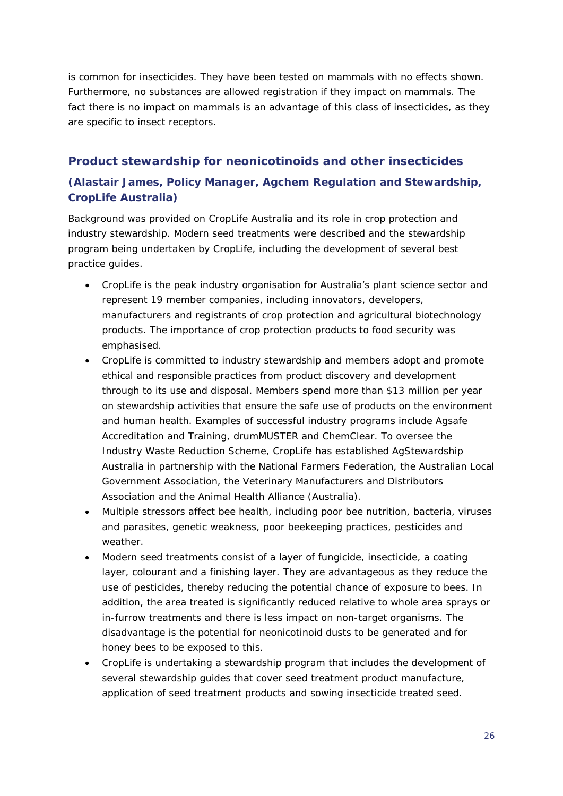is common for insecticides. They have been tested on mammals with no effects shown. Furthermore, no substances are allowed registration if they impact on mammals. The fact there is no impact on mammals is an advantage of this class of insecticides, as they are specific to insect receptors.

## <span id="page-27-0"></span>**Product stewardship for neonicotinoids and other insecticides**

# **(***Alastair James, Policy Manager, Agchem Regulation and Stewardship, CropLife Australia***)**

Background was provided on CropLife Australia and its role in crop protection and industry stewardship. Modern seed treatments were described and the stewardship program being undertaken by CropLife, including the development of several best practice guides.

- CropLife is the peak industry organisation for Australia's plant science sector and represent 19 member companies, including innovators, developers, manufacturers and registrants of crop protection and agricultural biotechnology products. The importance of crop protection products to food security was emphasised.
- CropLife is committed to industry stewardship and members adopt and promote ethical and responsible practices from product discovery and development through to its use and disposal. Members spend more than \$13 million per year on stewardship activities that ensure the safe use of products on the environment and human health. Examples of successful industry programs include Agsafe Accreditation and Training, *drum*MUSTER and ChemClear. To oversee the Industry Waste Reduction Scheme, CropLife has established AgStewardship Australia in partnership with the National Farmers Federation, the Australian Local Government Association, the Veterinary Manufacturers and Distributors Association and the Animal Health Alliance (Australia).
- Multiple stressors affect bee health, including poor bee nutrition, bacteria, viruses and parasites, genetic weakness, poor beekeeping practices, pesticides and weather.
- Modern seed treatments consist of a layer of fungicide, insecticide, a coating layer, colourant and a finishing layer. They are advantageous as they reduce the use of pesticides, thereby reducing the potential chance of exposure to bees. In addition, the area treated is significantly reduced relative to whole area sprays or in-furrow treatments and there is less impact on non-target organisms. The disadvantage is the potential for neonicotinoid dusts to be generated and for honey bees to be exposed to this.
- CropLife is undertaking a stewardship program that includes the development of several stewardship guides that cover seed treatment product manufacture, application of seed treatment products and sowing insecticide treated seed.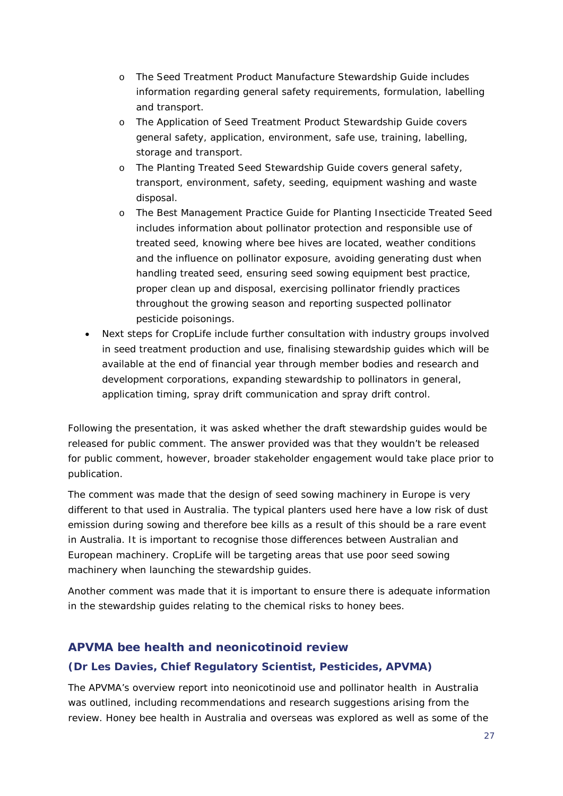- o The Seed Treatment Product Manufacture Stewardship Guide includes information regarding general safety requirements, formulation, labelling and transport.
- o The Application of Seed Treatment Product Stewardship Guide covers general safety, application, environment, safe use, training, labelling, storage and transport.
- o The Planting Treated Seed Stewardship Guide covers general safety, transport, environment, safety, seeding, equipment washing and waste disposal.
- o The Best Management Practice Guide for Planting Insecticide Treated Seed includes information about pollinator protection and responsible use of treated seed, knowing where bee hives are located, weather conditions and the influence on pollinator exposure, avoiding generating dust when handling treated seed, ensuring seed sowing equipment best practice, proper clean up and disposal, exercising pollinator friendly practices throughout the growing season and reporting suspected pollinator pesticide poisonings.
- Next steps for CropLife include further consultation with industry groups involved in seed treatment production and use, finalising stewardship guides which will be available at the end of financial year through member bodies and research and development corporations, expanding stewardship to pollinators in general, application timing, spray drift communication and spray drift control.

Following the presentation, it was asked whether the draft stewardship guides would be released for public comment. The answer provided was that they wouldn't be released for public comment, however, broader stakeholder engagement would take place prior to publication.

The comment was made that the design of seed sowing machinery in Europe is very different to that used in Australia. The typical planters used here have a low risk of dust emission during sowing and therefore bee kills as a result of this should be a rare event in Australia. It is important to recognise those differences between Australian and European machinery. CropLife will be targeting areas that use poor seed sowing machinery when launching the stewardship guides.

Another comment was made that it is important to ensure there is adequate information in the stewardship guides relating to the chemical risks to honey bees.

## <span id="page-28-0"></span>**APVMA bee health and neonicotinoid review**

#### **(***Dr Les Davies, Chief Regulatory Scientist, Pesticides, APVMA***)**

The APVMA's overview report into neonicotinoid use and pollinator health in Australia was outlined, including recommendations and research suggestions arising from the review. Honey bee health in Australia and overseas was explored as well as some of the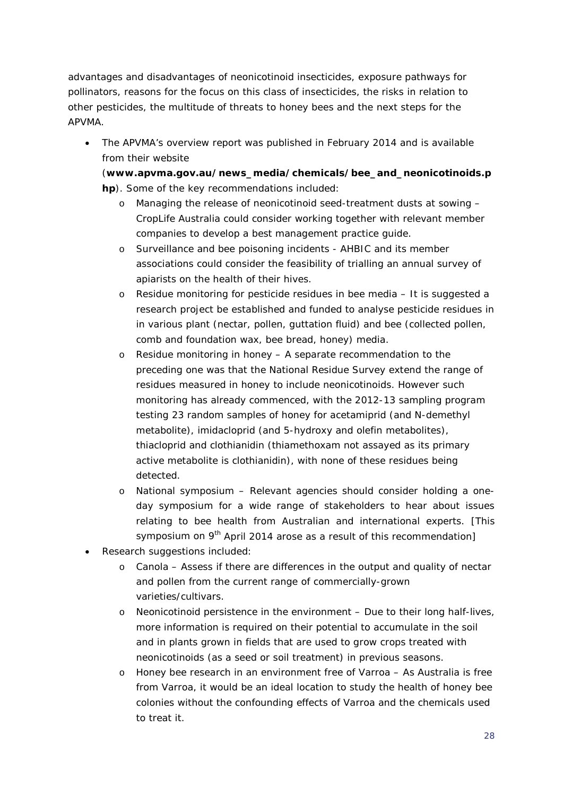advantages and disadvantages of neonicotinoid insecticides, exposure pathways for pollinators, reasons for the focus on this class of insecticides, the risks in relation to other pesticides, the multitude of threats to honey bees and the next steps for the APVMA.

• The APVMA's overview report was published in February 2014 and is available from their website

(**[www.apvma.gov.au/news\\_media/chemicals/bee\\_and\\_neonicotinoids.p](http://www.apvma.gov.au/news_media/chemicals/bee_and_neonicotinoids.php) [hp](http://www.apvma.gov.au/news_media/chemicals/bee_and_neonicotinoids.php)**). Some of the key recommendations included:

- o Managing the release of neonicotinoid seed-treatment dusts at sowing CropLife Australia could consider working together with relevant member companies to develop a best management practice guide.
- o Surveillance and bee poisoning incidents AHBIC and its member associations could consider the feasibility of trialling an annual survey of apiarists on the health of their hives.
- o Residue monitoring for pesticide residues in bee media It is suggested a research project be established and funded to analyse pesticide residues in in various plant (nectar, pollen, guttation fluid) and bee (collected pollen, comb and foundation wax, bee bread, honey) media.
- o Residue monitoring in honey A separate recommendation to the preceding one was that the National Residue Survey extend the range of residues measured in honey to include neonicotinoids. However such monitoring has already commenced, with the 2012-13 sampling program testing 23 random samples of honey for acetamiprid (and N-demethyl metabolite), imidacloprid (and 5-hydroxy and olefin metabolites), thiacloprid and clothianidin (thiamethoxam not assayed as its primary active metabolite is clothianidin), with none of these residues being detected.
- o National symposium Relevant agencies should consider holding a oneday symposium for a wide range of stakeholders to hear about issues relating to bee health from Australian and international experts. [This symposium on 9<sup>th</sup> April 2014 arose as a result of this recommendation]
- Research suggestions included:
	- o Canola Assess if there are differences in the output and quality of nectar and pollen from the current range of commercially-grown varieties/cultivars.
	- o Neonicotinoid persistence in the environment Due to their long half-lives, more information is required on their potential to accumulate in the soil and in plants grown in fields that are used to grow crops treated with neonicotinoids (as a seed or soil treatment) in previous seasons.
	- o Honey bee research in an environment free of Varroa As Australia is free from Varroa, it would be an ideal location to study the health of honey bee colonies without the confounding effects of Varroa and the chemicals used to treat it.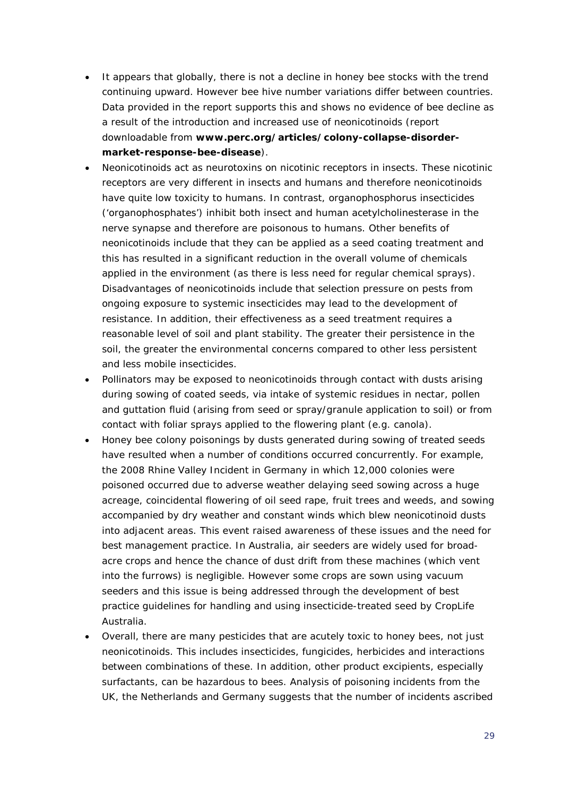- It appears that globally, there is not a decline in honey bee stocks with the trend continuing upward. However bee hive number variations differ between countries. Data provided in the report supports this and shows no evidence of bee decline as a result of the introduction and increased use of neonicotinoids (report downloadable from **[www.perc.org/articles/colony-collapse-disorder](http://www.perc.org/articles/colony-collapse-disorder-market-response-bee-disease)[market-response-bee-disease](http://www.perc.org/articles/colony-collapse-disorder-market-response-bee-disease)**).
- Neonicotinoids act as neurotoxins on nicotinic receptors in insects. These nicotinic receptors are very different in insects and humans and therefore neonicotinoids have quite low toxicity to humans. In contrast, organophosphorus insecticides ('organophosphates') inhibit both insect and human acetylcholinesterase in the nerve synapse and therefore are poisonous to humans. Other benefits of neonicotinoids include that they can be applied as a seed coating treatment and this has resulted in a significant reduction in the overall volume of chemicals applied in the environment (as there is less need for regular chemical sprays). Disadvantages of neonicotinoids include that selection pressure on pests from ongoing exposure to systemic insecticides may lead to the development of resistance. In addition, their effectiveness as a seed treatment requires a reasonable level of soil and plant stability. The greater their persistence in the soil, the greater the environmental concerns compared to other less persistent and less mobile insecticides.
- Pollinators may be exposed to neonicotinoids through contact with dusts arising during sowing of coated seeds, via intake of systemic residues in nectar, pollen and guttation fluid (arising from seed or spray/granule application to soil) or from contact with foliar sprays applied to the flowering plant (e.g. canola).
- Honey bee colony poisonings by dusts generated during sowing of treated seeds have resulted when a number of conditions occurred concurrently. For example, the 2008 Rhine Valley Incident in Germany in which 12,000 colonies were poisoned occurred due to adverse weather delaying seed sowing across a huge acreage, coincidental flowering of oil seed rape, fruit trees and weeds, and sowing accompanied by dry weather and constant winds which blew neonicotinoid dusts into adjacent areas. This event raised awareness of these issues and the need for best management practice. In Australia, air seeders are widely used for broadacre crops and hence the chance of dust drift from these machines (which vent into the furrows) is negligible. However some crops are sown using vacuum seeders and this issue is being addressed through the development of best practice guidelines for handling and using insecticide-treated seed by CropLife Australia.
- Overall, there are many pesticides that are acutely toxic to honey bees, not just neonicotinoids. This includes insecticides, fungicides, herbicides and interactions between combinations of these. In addition, other product excipients, especially surfactants, can be hazardous to bees. Analysis of poisoning incidents from the UK, the Netherlands and Germany suggests that the number of incidents ascribed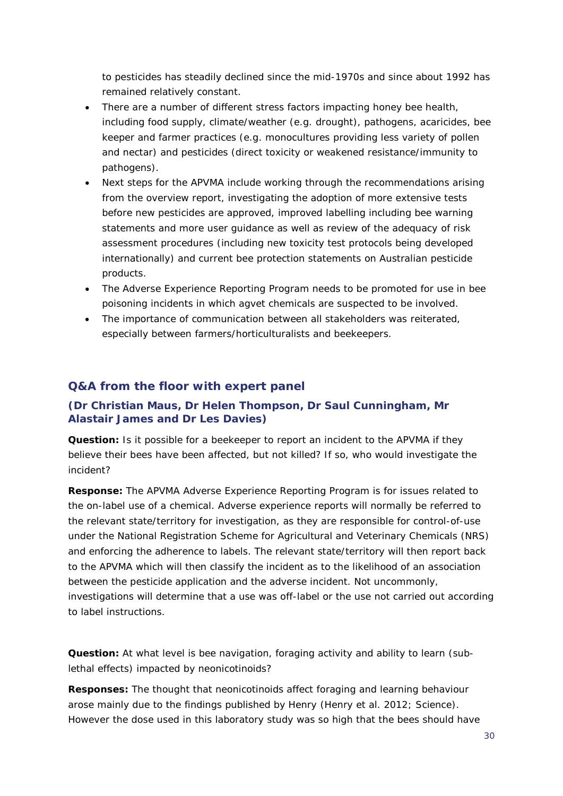to pesticides has steadily declined since the mid-1970s and since about 1992 has remained relatively constant.

- There are a number of different stress factors impacting honey bee health, including food supply, climate/weather (e.g. drought), pathogens, acaricides, bee keeper and farmer practices (e.g. monocultures providing less variety of pollen and nectar) and pesticides (direct toxicity or weakened resistance/immunity to pathogens).
- Next steps for the APVMA include working through the recommendations arising from the overview report, investigating the adoption of more extensive tests before new pesticides are approved, improved labelling including bee warning statements and more user guidance as well as review of the adequacy of risk assessment procedures (including new toxicity test protocols being developed internationally) and current bee protection statements on Australian pesticide products.
- The Adverse Experience Reporting Program needs to be promoted for use in bee poisoning incidents in which agvet chemicals are suspected to be involved.
- The importance of communication between all stakeholders was reiterated, especially between farmers/horticulturalists and beekeepers.

#### <span id="page-31-0"></span>**Q&A from the floor with expert panel**

#### **(***Dr Christian Maus, Dr Helen Thompson, Dr Saul Cunningham, Mr Alastair James and Dr Les Davies***)**

**Question:** Is it possible for a beekeeper to report an incident to the APVMA if they believe their bees have been affected, but not killed? If so, who would investigate the incident?

**Response:** The APVMA Adverse Experience Reporting Program is for issues related to the on-label use of a chemical. Adverse experience reports will normally be referred to the relevant state/territory for investigation, as they are responsible for control-of-use under the National Registration Scheme for Agricultural and Veterinary Chemicals (NRS) and enforcing the adherence to labels. The relevant state/territory will then report back to the APVMA which will then classify the incident as to the likelihood of an association between the pesticide application and the adverse incident. Not uncommonly, investigations will determine that a use was off-label or the use not carried out according to label instructions.

**Question:** At what level is bee navigation, foraging activity and ability to learn (sublethal effects) impacted by neonicotinoids?

**Responses:** The thought that neonicotinoids affect foraging and learning behaviour arose mainly due to the findings published by Henry (*Henry et al. 2012*; *Science*). However the dose used in this laboratory study was so high that the bees should have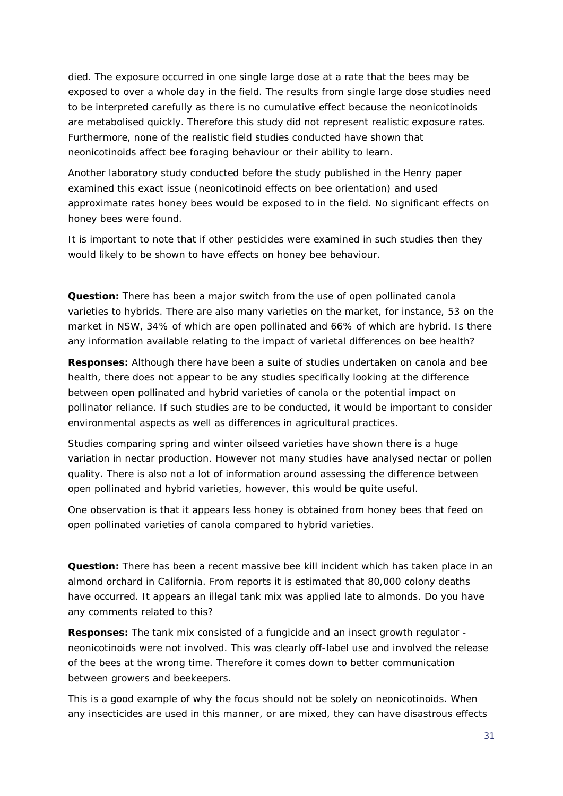died. The exposure occurred in one single large dose at a rate that the bees may be exposed to over a whole day in the field. The results from single large dose studies need to be interpreted carefully as there is no cumulative effect because the neonicotinoids are metabolised quickly. Therefore this study did not represent realistic exposure rates. Furthermore, none of the realistic field studies conducted have shown that neonicotinoids affect bee foraging behaviour or their ability to learn.

Another laboratory study conducted before the study published in the Henry paper examined this exact issue (neonicotinoid effects on bee orientation) and used approximate rates honey bees would be exposed to in the field. No significant effects on honey bees were found.

It is important to note that if other pesticides were examined in such studies then they would likely to be shown to have effects on honey bee behaviour.

**Question:** There has been a major switch from the use of open pollinated canola varieties to hybrids. There are also many varieties on the market, for instance, 53 on the market in NSW, 34% of which are open pollinated and 66% of which are hybrid. Is there any information available relating to the impact of varietal differences on bee health?

**Responses:** Although there have been a suite of studies undertaken on canola and bee health, there does not appear to be any studies specifically looking at the difference between open pollinated and hybrid varieties of canola or the potential impact on pollinator reliance. If such studies are to be conducted, it would be important to consider environmental aspects as well as differences in agricultural practices.

Studies comparing spring and winter oilseed varieties have shown there is a huge variation in nectar production. However not many studies have analysed nectar or pollen quality. There is also not a lot of information around assessing the difference between open pollinated and hybrid varieties, however, this would be quite useful.

One observation is that it appears less honey is obtained from honey bees that feed on open pollinated varieties of canola compared to hybrid varieties.

**Question:** There has been a recent massive bee kill incident which has taken place in an almond orchard in California. From reports it is estimated that 80,000 colony deaths have occurred. It appears an illegal tank mix was applied late to almonds. Do you have any comments related to this?

**Responses:** The tank mix consisted of a fungicide and an insect growth regulator neonicotinoids were not involved. This was clearly off-label use and involved the release of the bees at the wrong time. Therefore it comes down to better communication between growers and beekeepers.

This is a good example of why the focus should not be solely on neonicotinoids. When any insecticides are used in this manner, or are mixed, they can have disastrous effects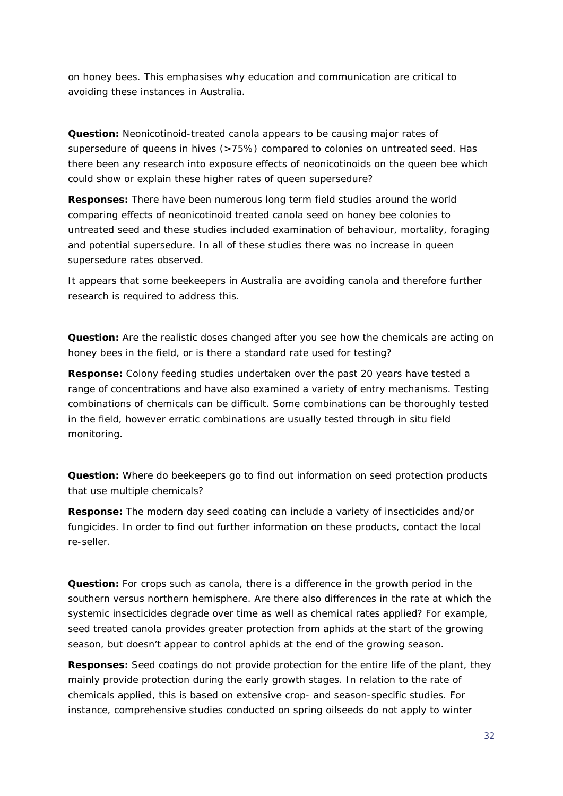on honey bees. This emphasises why education and communication are critical to avoiding these instances in Australia.

**Question:** Neonicotinoid-treated canola appears to be causing major rates of supersedure of queens in hives (>75%) compared to colonies on untreated seed. Has there been any research into exposure effects of neonicotinoids on the queen bee which could show or explain these higher rates of queen supersedure?

**Responses:** There have been numerous long term field studies around the world comparing effects of neonicotinoid treated canola seed on honey bee colonies to untreated seed and these studies included examination of behaviour, mortality, foraging and potential supersedure. In all of these studies there was no increase in queen supersedure rates observed.

It appears that some beekeepers in Australia are avoiding canola and therefore further research is required to address this.

**Question:** Are the realistic doses changed after you see how the chemicals are acting on honey bees in the field, or is there a standard rate used for testing?

**Response:** Colony feeding studies undertaken over the past 20 years have tested a range of concentrations and have also examined a variety of entry mechanisms. Testing combinations of chemicals can be difficult. Some combinations can be thoroughly tested in the field, however erratic combinations are usually tested through in situ field monitoring.

**Question:** Where do beekeepers go to find out information on seed protection products that use multiple chemicals?

**Response:** The modern day seed coating can include a variety of insecticides and/or fungicides. In order to find out further information on these products, contact the local re-seller.

**Question:** For crops such as canola, there is a difference in the growth period in the southern versus northern hemisphere. Are there also differences in the rate at which the systemic insecticides degrade over time as well as chemical rates applied? For example, seed treated canola provides greater protection from aphids at the start of the growing season, but doesn't appear to control aphids at the end of the growing season.

**Responses:** Seed coatings do not provide protection for the entire life of the plant, they mainly provide protection during the early growth stages. In relation to the rate of chemicals applied, this is based on extensive crop- and season-specific studies. For instance, comprehensive studies conducted on spring oilseeds do not apply to winter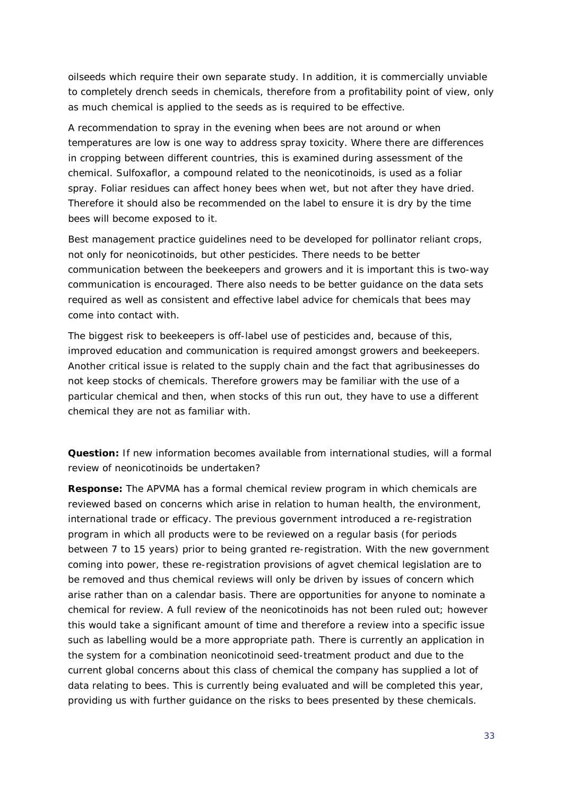oilseeds which require their own separate study. In addition, it is commercially unviable to completely drench seeds in chemicals, therefore from a profitability point of view, only as much chemical is applied to the seeds as is required to be effective.

A recommendation to spray in the evening when bees are not around or when temperatures are low is one way to address spray toxicity. Where there are differences in cropping between different countries, this is examined during assessment of the chemical. Sulfoxaflor, a compound related to the neonicotinoids, is used as a foliar spray. Foliar residues can affect honey bees when wet, but not after they have dried. Therefore it should also be recommended on the label to ensure it is dry by the time bees will become exposed to it.

Best management practice guidelines need to be developed for pollinator reliant crops, not only for neonicotinoids, but other pesticides. There needs to be better communication between the beekeepers and growers and it is important this is two-way communication is encouraged. There also needs to be better guidance on the data sets required as well as consistent and effective label advice for chemicals that bees may come into contact with.

The biggest risk to beekeepers is off-label use of pesticides and, because of this, improved education and communication is required amongst growers and beekeepers. Another critical issue is related to the supply chain and the fact that agribusinesses do not keep stocks of chemicals. Therefore growers may be familiar with the use of a particular chemical and then, when stocks of this run out, they have to use a different chemical they are not as familiar with.

**Question:** If new information becomes available from international studies, will a formal review of neonicotinoids be undertaken?

**Response:** The APVMA has a formal chemical review program in which chemicals are reviewed based on concerns which arise in relation to human health, the environment, international trade or efficacy. The previous government introduced a re-registration program in which all products were to be reviewed on a regular basis (for periods between 7 to 15 years) prior to being granted re-registration. With the new government coming into power, these re-registration provisions of agvet chemical legislation are to be removed and thus chemical reviews will only be driven by issues of concern which arise rather than on a calendar basis. There are opportunities for anyone to nominate a chemical for review. A full review of the neonicotinoids has not been ruled out; however this would take a significant amount of time and therefore a review into a specific issue such as labelling would be a more appropriate path. There is currently an application in the system for a combination neonicotinoid seed-treatment product and due to the current global concerns about this class of chemical the company has supplied a lot of data relating to bees. This is currently being evaluated and will be completed this year, providing us with further guidance on the risks to bees presented by these chemicals.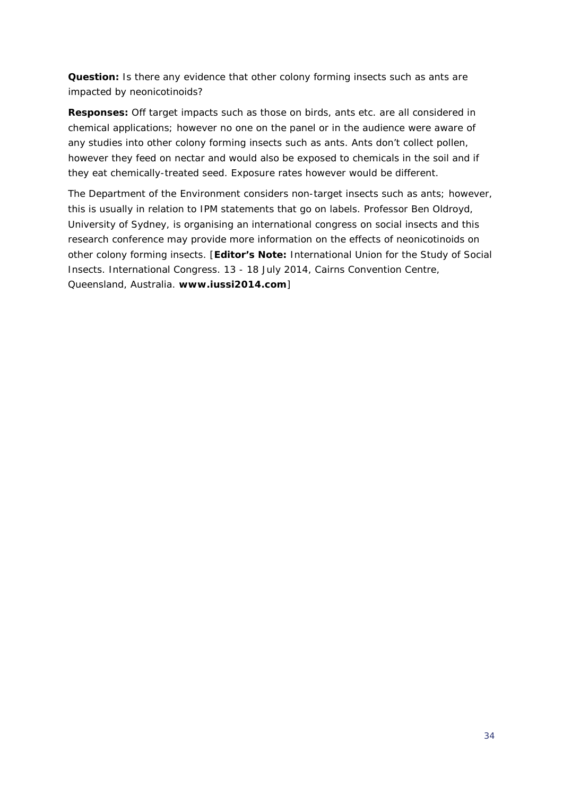**Question:** Is there any evidence that other colony forming insects such as ants are impacted by neonicotinoids?

**Responses:** Off target impacts such as those on birds, ants etc. are all considered in chemical applications; however no one on the panel or in the audience were aware of any studies into other colony forming insects such as ants. Ants don't collect pollen, however they feed on nectar and would also be exposed to chemicals in the soil and if they eat chemically-treated seed. Exposure rates however would be different.

The Department of the Environment considers non-target insects such as ants; however, this is usually in relation to IPM statements that go on labels. Professor Ben Oldroyd, University of Sydney, is organising an international congress on social insects and this research conference may provide more information on the effects of neonicotinoids on other colony forming insects. [**Editor's Note:** International Union for the Study of Social Insects. International Congress. 13 - 18 July 2014, Cairns Convention Centre, Queensland, Australia. **[www.iussi2014.com](http://www.iussi2014.com/)**]